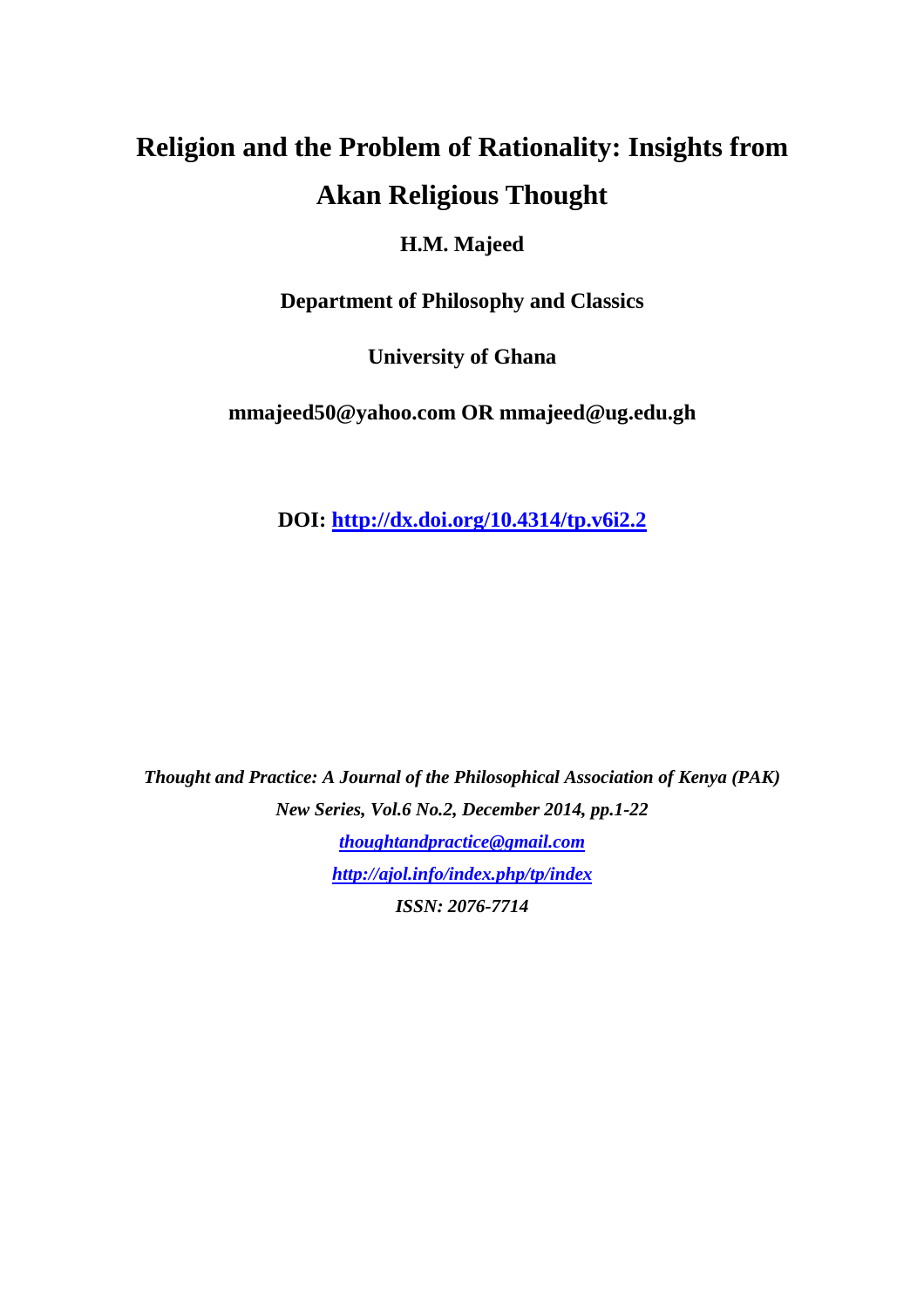# **Religion and the Problem of Rationality: Insights from Akan Religious Thought**

## **H.M. Majeed**

**Department of Philosophy and Classics** 

**University of Ghana** 

**mmajeed50@yahoo.com OR mmajeed@ug.edu.gh** 

**DOI: http://dx.doi.org/10.4314/tp.v6i2.2**

*Thought and Practice: A Journal of the Philosophical Association of Kenya (PAK) New Series, Vol.6 No.2, December 2014, pp.1-22 thoughtandpractice@gmail.com http://ajol.info/index.php/tp/index ISSN: 2076-7714*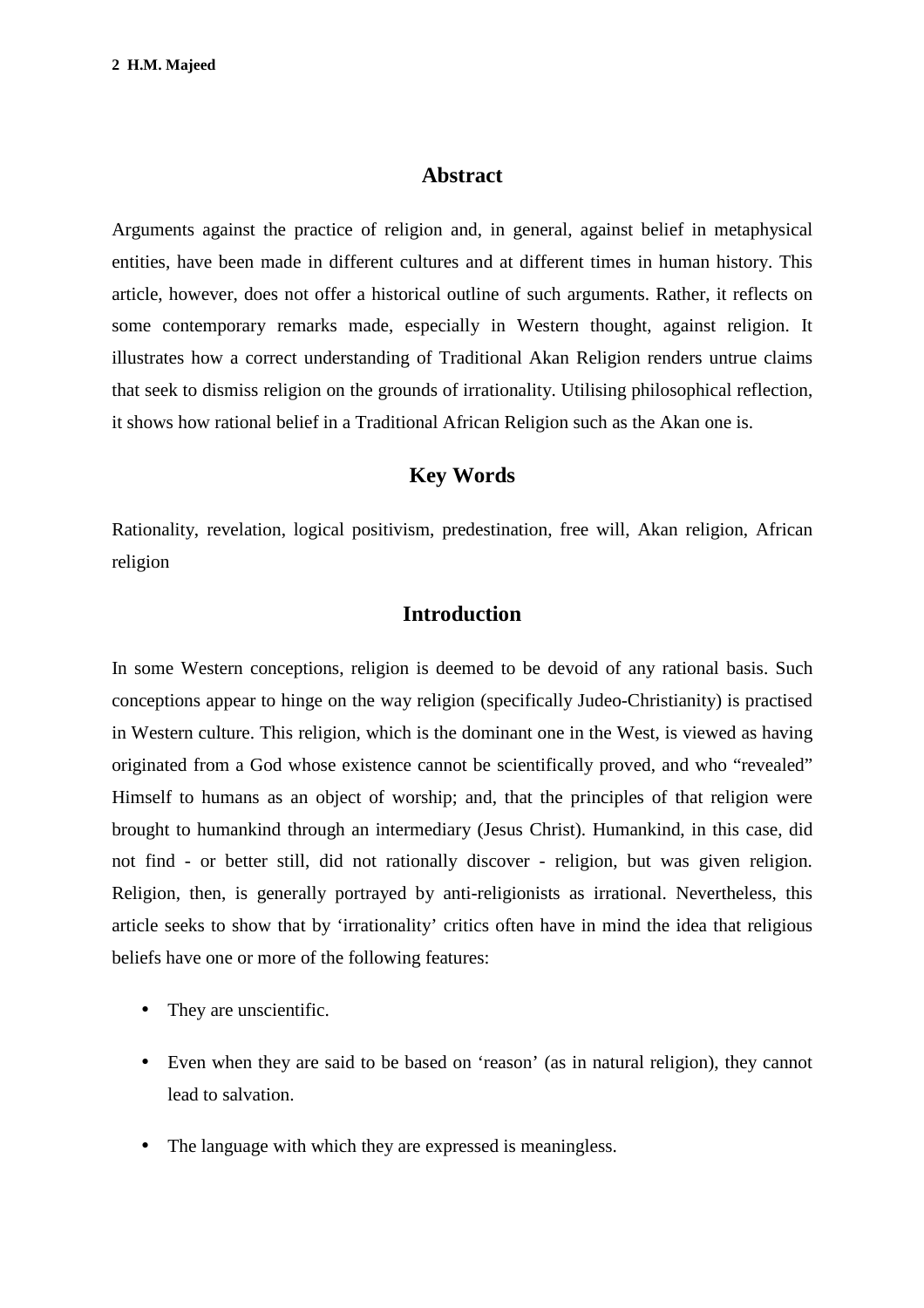#### **Abstract**

Arguments against the practice of religion and, in general, against belief in metaphysical entities, have been made in different cultures and at different times in human history. This article, however, does not offer a historical outline of such arguments. Rather, it reflects on some contemporary remarks made, especially in Western thought, against religion. It illustrates how a correct understanding of Traditional Akan Religion renders untrue claims that seek to dismiss religion on the grounds of irrationality. Utilising philosophical reflection, it shows how rational belief in a Traditional African Religion such as the Akan one is.

### **Key Words**

Rationality, revelation, logical positivism, predestination, free will, Akan religion, African religion

#### **Introduction**

In some Western conceptions, religion is deemed to be devoid of any rational basis. Such conceptions appear to hinge on the way religion (specifically Judeo-Christianity) is practised in Western culture. This religion, which is the dominant one in the West, is viewed as having originated from a God whose existence cannot be scientifically proved, and who "revealed" Himself to humans as an object of worship; and, that the principles of that religion were brought to humankind through an intermediary (Jesus Christ). Humankind, in this case, did not find - or better still, did not rationally discover - religion, but was given religion. Religion, then, is generally portrayed by anti-religionists as irrational. Nevertheless, this article seeks to show that by 'irrationality' critics often have in mind the idea that religious beliefs have one or more of the following features:

- They are unscientific.
- Even when they are said to be based on 'reason' (as in natural religion), they cannot lead to salvation.
- The language with which they are expressed is meaningless.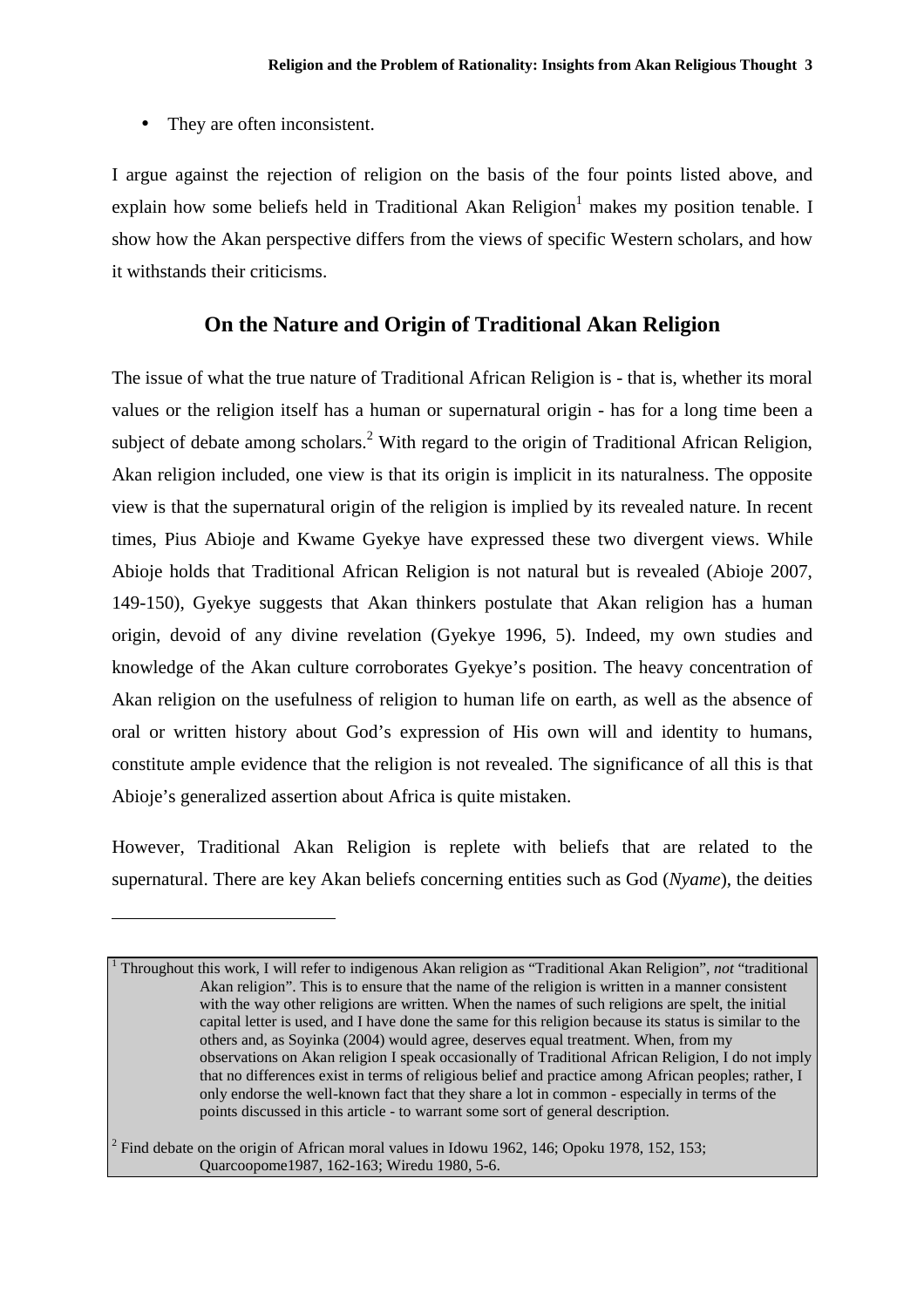• They are often inconsistent.

 $\overline{a}$ 

1

I argue against the rejection of religion on the basis of the four points listed above, and explain how some beliefs held in Traditional Akan Religion<sup>1</sup> makes my position tenable. I show how the Akan perspective differs from the views of specific Western scholars, and how it withstands their criticisms.

#### **On the Nature and Origin of Traditional Akan Religion**

The issue of what the true nature of Traditional African Religion is - that is, whether its moral values or the religion itself has a human or supernatural origin - has for a long time been a subject of debate among scholars.<sup>2</sup> With regard to the origin of Traditional African Religion, Akan religion included, one view is that its origin is implicit in its naturalness. The opposite view is that the supernatural origin of the religion is implied by its revealed nature. In recent times, Pius Abioje and Kwame Gyekye have expressed these two divergent views. While Abioje holds that Traditional African Religion is not natural but is revealed (Abioje 2007, 149-150), Gyekye suggests that Akan thinkers postulate that Akan religion has a human origin, devoid of any divine revelation (Gyekye 1996, 5). Indeed, my own studies and knowledge of the Akan culture corroborates Gyekye's position. The heavy concentration of Akan religion on the usefulness of religion to human life on earth, as well as the absence of oral or written history about God's expression of His own will and identity to humans, constitute ample evidence that the religion is not revealed. The significance of all this is that Abioje's generalized assertion about Africa is quite mistaken.

However, Traditional Akan Religion is replete with beliefs that are related to the supernatural. There are key Akan beliefs concerning entities such as God (*Nyame*), the deities

2 Find debate on the origin of African moral values in Idowu 1962, 146; Opoku 1978, 152, 153; Quarcoopome1987, 162-163; Wiredu 1980, 5-6.

Throughout this work, I will refer to indigenous Akan religion as "Traditional Akan Religion", *not* "traditional Akan religion". This is to ensure that the name of the religion is written in a manner consistent with the way other religions are written. When the names of such religions are spelt, the initial capital letter is used, and I have done the same for this religion because its status is similar to the others and, as Soyinka (2004) would agree, deserves equal treatment. When, from my observations on Akan religion I speak occasionally of Traditional African Religion, I do not imply that no differences exist in terms of religious belief and practice among African peoples; rather, I only endorse the well-known fact that they share a lot in common - especially in terms of the points discussed in this article - to warrant some sort of general description.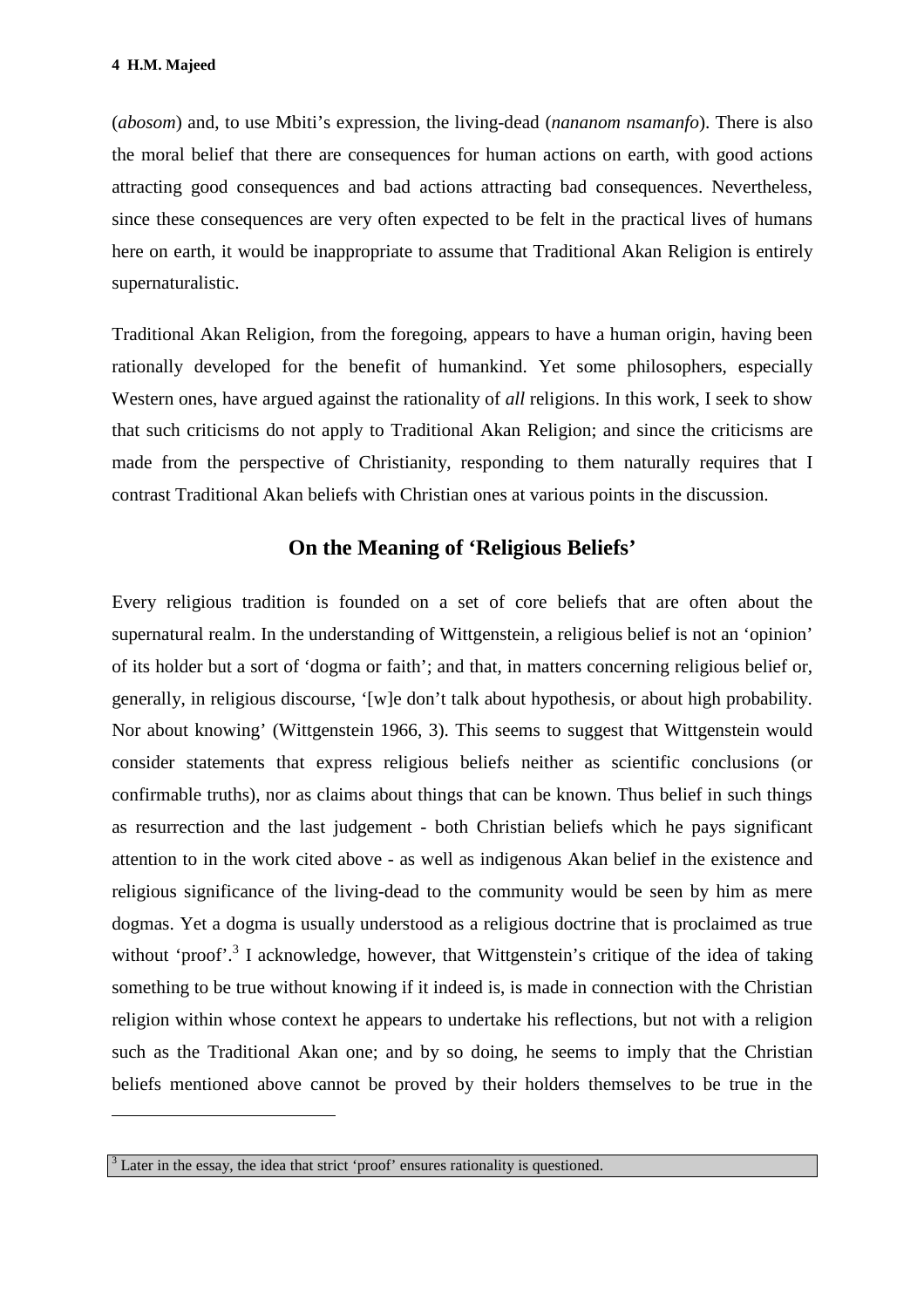(*abosom*) and, to use Mbiti's expression, the living-dead (*nananom nsamanfo*). There is also the moral belief that there are consequences for human actions on earth, with good actions attracting good consequences and bad actions attracting bad consequences. Nevertheless, since these consequences are very often expected to be felt in the practical lives of humans here on earth, it would be inappropriate to assume that Traditional Akan Religion is entirely supernaturalistic.

Traditional Akan Religion, from the foregoing, appears to have a human origin, having been rationally developed for the benefit of humankind. Yet some philosophers, especially Western ones, have argued against the rationality of *all* religions. In this work, I seek to show that such criticisms do not apply to Traditional Akan Religion; and since the criticisms are made from the perspective of Christianity, responding to them naturally requires that I contrast Traditional Akan beliefs with Christian ones at various points in the discussion.

#### **On the Meaning of 'Religious Beliefs'**

Every religious tradition is founded on a set of core beliefs that are often about the supernatural realm. In the understanding of Wittgenstein, a religious belief is not an 'opinion' of its holder but a sort of 'dogma or faith'; and that, in matters concerning religious belief or, generally, in religious discourse, '[w]e don't talk about hypothesis, or about high probability. Nor about knowing' (Wittgenstein 1966, 3). This seems to suggest that Wittgenstein would consider statements that express religious beliefs neither as scientific conclusions (or confirmable truths), nor as claims about things that can be known. Thus belief in such things as resurrection and the last judgement - both Christian beliefs which he pays significant attention to in the work cited above - as well as indigenous Akan belief in the existence and religious significance of the living-dead to the community would be seen by him as mere dogmas. Yet a dogma is usually understood as a religious doctrine that is proclaimed as true without 'proof'.<sup>3</sup> I acknowledge, however, that Wittgenstein's critique of the idea of taking something to be true without knowing if it indeed is, is made in connection with the Christian religion within whose context he appears to undertake his reflections, but not with a religion such as the Traditional Akan one; and by so doing, he seems to imply that the Christian beliefs mentioned above cannot be proved by their holders themselves to be true in the

 $\overline{a}$ 

<sup>3</sup> Later in the essay, the idea that strict 'proof' ensures rationality is questioned.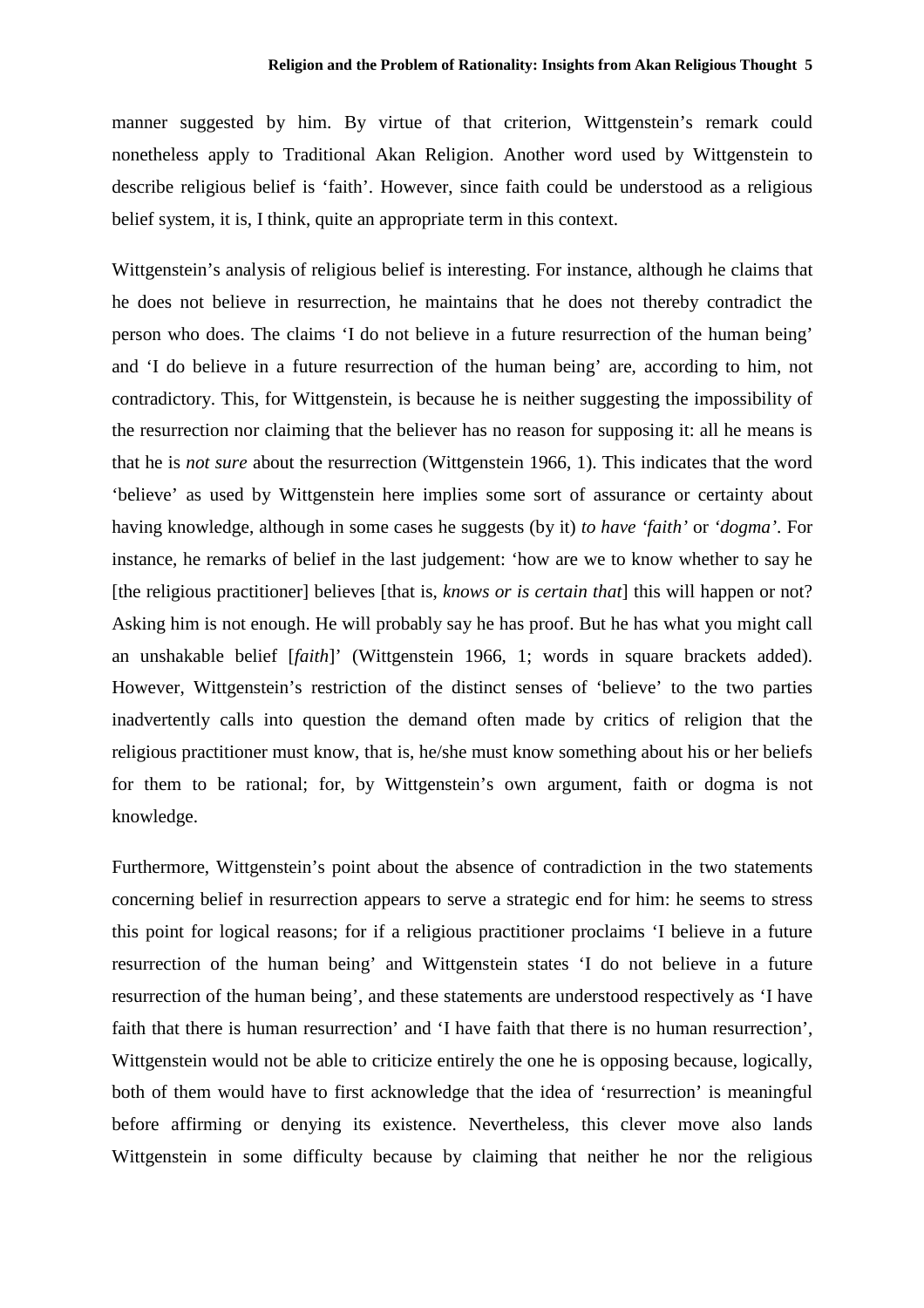manner suggested by him. By virtue of that criterion, Wittgenstein's remark could nonetheless apply to Traditional Akan Religion. Another word used by Wittgenstein to describe religious belief is 'faith'. However, since faith could be understood as a religious belief system, it is, I think, quite an appropriate term in this context.

Wittgenstein's analysis of religious belief is interesting. For instance, although he claims that he does not believe in resurrection, he maintains that he does not thereby contradict the person who does. The claims 'I do not believe in a future resurrection of the human being' and 'I do believe in a future resurrection of the human being' are, according to him, not contradictory. This, for Wittgenstein, is because he is neither suggesting the impossibility of the resurrection nor claiming that the believer has no reason for supposing it: all he means is that he is *not sure* about the resurrection (Wittgenstein 1966, 1). This indicates that the word 'believe' as used by Wittgenstein here implies some sort of assurance or certainty about having knowledge, although in some cases he suggests (by it) *to have 'faith'* or *'dogma'*. For instance, he remarks of belief in the last judgement: 'how are we to know whether to say he [the religious practitioner] believes [that is, *knows or is certain that*] this will happen or not? Asking him is not enough. He will probably say he has proof. But he has what you might call an unshakable belief [*faith*]' (Wittgenstein 1966, 1; words in square brackets added). However, Wittgenstein's restriction of the distinct senses of 'believe' to the two parties inadvertently calls into question the demand often made by critics of religion that the religious practitioner must know, that is, he/she must know something about his or her beliefs for them to be rational; for, by Wittgenstein's own argument, faith or dogma is not knowledge.

Furthermore, Wittgenstein's point about the absence of contradiction in the two statements concerning belief in resurrection appears to serve a strategic end for him: he seems to stress this point for logical reasons; for if a religious practitioner proclaims 'I believe in a future resurrection of the human being' and Wittgenstein states 'I do not believe in a future resurrection of the human being', and these statements are understood respectively as 'I have faith that there is human resurrection' and 'I have faith that there is no human resurrection', Wittgenstein would not be able to criticize entirely the one he is opposing because, logically, both of them would have to first acknowledge that the idea of 'resurrection' is meaningful before affirming or denying its existence. Nevertheless, this clever move also lands Wittgenstein in some difficulty because by claiming that neither he nor the religious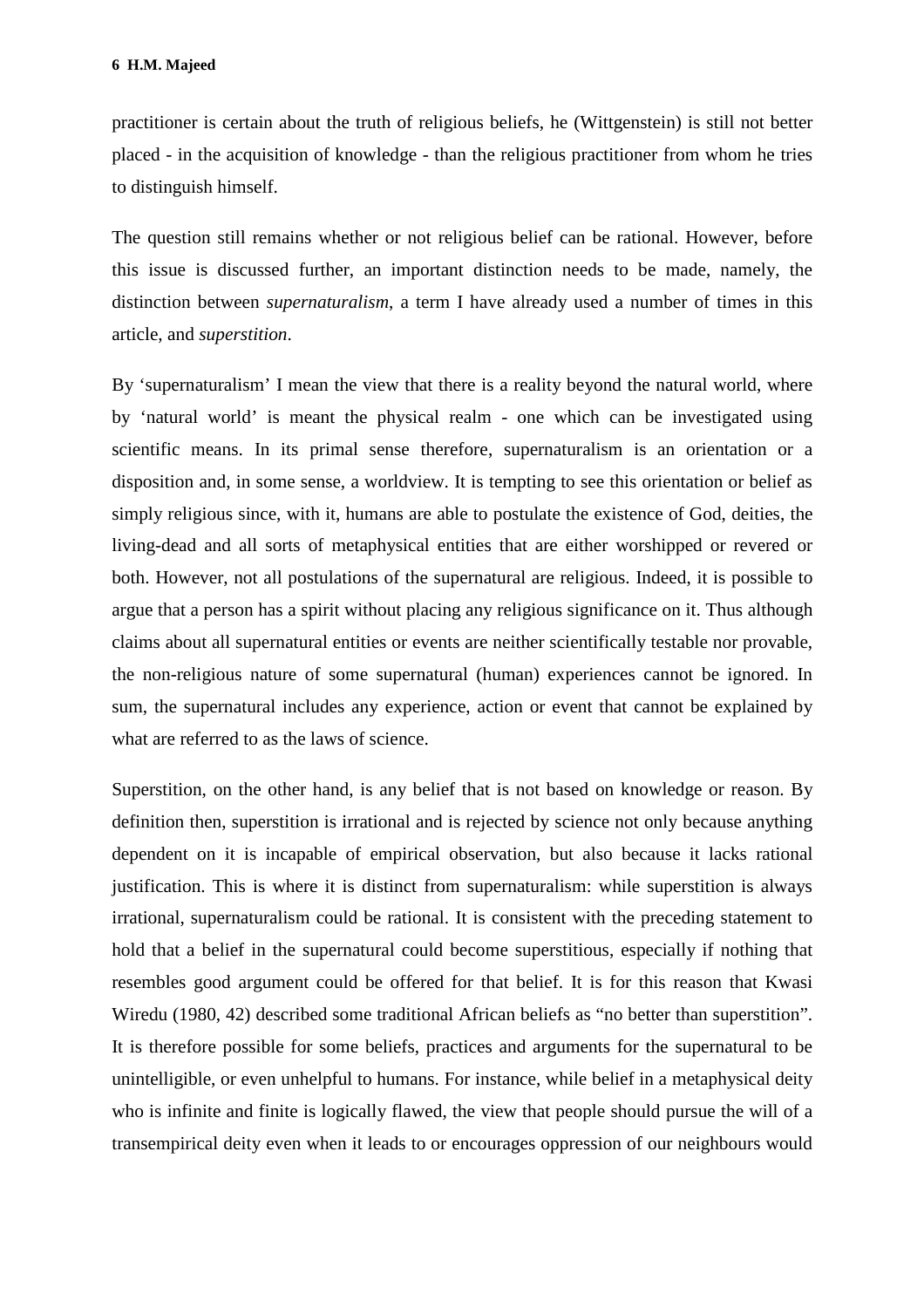practitioner is certain about the truth of religious beliefs, he (Wittgenstein) is still not better placed - in the acquisition of knowledge - than the religious practitioner from whom he tries to distinguish himself.

The question still remains whether or not religious belief can be rational. However, before this issue is discussed further, an important distinction needs to be made, namely, the distinction between *supernaturalism*, a term I have already used a number of times in this article, and *superstition*.

By 'supernaturalism' I mean the view that there is a reality beyond the natural world, where by 'natural world' is meant the physical realm - one which can be investigated using scientific means. In its primal sense therefore, supernaturalism is an orientation or a disposition and, in some sense, a worldview. It is tempting to see this orientation or belief as simply religious since, with it, humans are able to postulate the existence of God, deities, the living-dead and all sorts of metaphysical entities that are either worshipped or revered or both. However, not all postulations of the supernatural are religious. Indeed, it is possible to argue that a person has a spirit without placing any religious significance on it. Thus although claims about all supernatural entities or events are neither scientifically testable nor provable, the non-religious nature of some supernatural (human) experiences cannot be ignored. In sum, the supernatural includes any experience, action or event that cannot be explained by what are referred to as the laws of science.

Superstition, on the other hand, is any belief that is not based on knowledge or reason. By definition then, superstition is irrational and is rejected by science not only because anything dependent on it is incapable of empirical observation, but also because it lacks rational justification. This is where it is distinct from supernaturalism: while superstition is always irrational, supernaturalism could be rational. It is consistent with the preceding statement to hold that a belief in the supernatural could become superstitious, especially if nothing that resembles good argument could be offered for that belief. It is for this reason that Kwasi Wiredu (1980, 42) described some traditional African beliefs as "no better than superstition". It is therefore possible for some beliefs, practices and arguments for the supernatural to be unintelligible, or even unhelpful to humans. For instance, while belief in a metaphysical deity who is infinite and finite is logically flawed, the view that people should pursue the will of a transempirical deity even when it leads to or encourages oppression of our neighbours would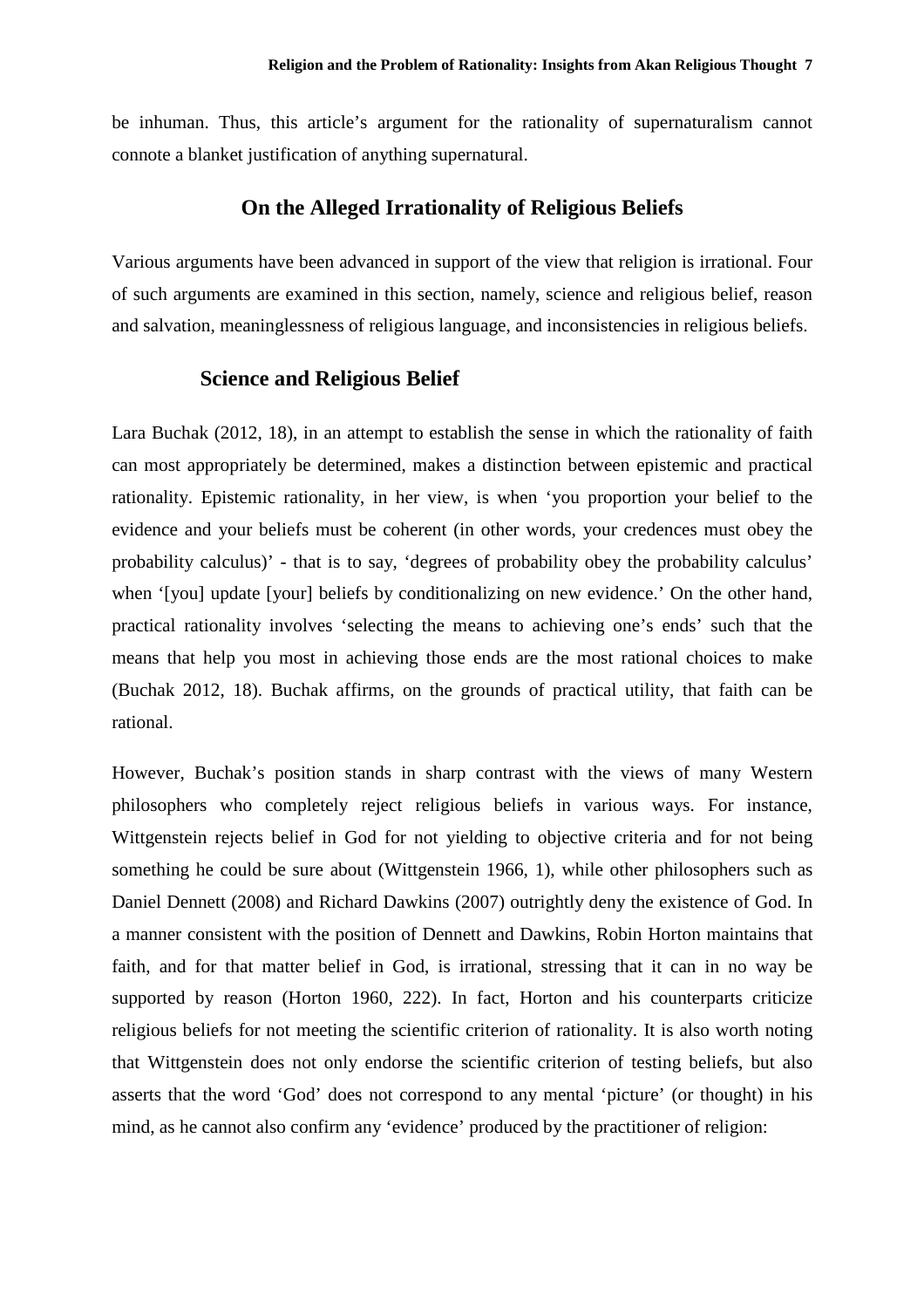be inhuman. Thus, this article's argument for the rationality of supernaturalism cannot connote a blanket justification of anything supernatural.

#### **On the Alleged Irrationality of Religious Beliefs**

Various arguments have been advanced in support of the view that religion is irrational. Four of such arguments are examined in this section, namely, science and religious belief, reason and salvation, meaninglessness of religious language, and inconsistencies in religious beliefs.

#### **Science and Religious Belief**

Lara Buchak (2012, 18), in an attempt to establish the sense in which the rationality of faith can most appropriately be determined, makes a distinction between epistemic and practical rationality. Epistemic rationality, in her view, is when 'you proportion your belief to the evidence and your beliefs must be coherent (in other words, your credences must obey the probability calculus)' - that is to say, 'degrees of probability obey the probability calculus' when '[you] update [your] beliefs by conditionalizing on new evidence.' On the other hand, practical rationality involves 'selecting the means to achieving one's ends' such that the means that help you most in achieving those ends are the most rational choices to make (Buchak 2012, 18). Buchak affirms, on the grounds of practical utility, that faith can be rational.

However, Buchak's position stands in sharp contrast with the views of many Western philosophers who completely reject religious beliefs in various ways. For instance, Wittgenstein rejects belief in God for not yielding to objective criteria and for not being something he could be sure about (Wittgenstein 1966, 1), while other philosophers such as Daniel Dennett (2008) and Richard Dawkins (2007) outrightly deny the existence of God. In a manner consistent with the position of Dennett and Dawkins, Robin Horton maintains that faith, and for that matter belief in God, is irrational, stressing that it can in no way be supported by reason (Horton 1960, 222). In fact, Horton and his counterparts criticize religious beliefs for not meeting the scientific criterion of rationality. It is also worth noting that Wittgenstein does not only endorse the scientific criterion of testing beliefs, but also asserts that the word 'God' does not correspond to any mental 'picture' (or thought) in his mind, as he cannot also confirm any 'evidence' produced by the practitioner of religion: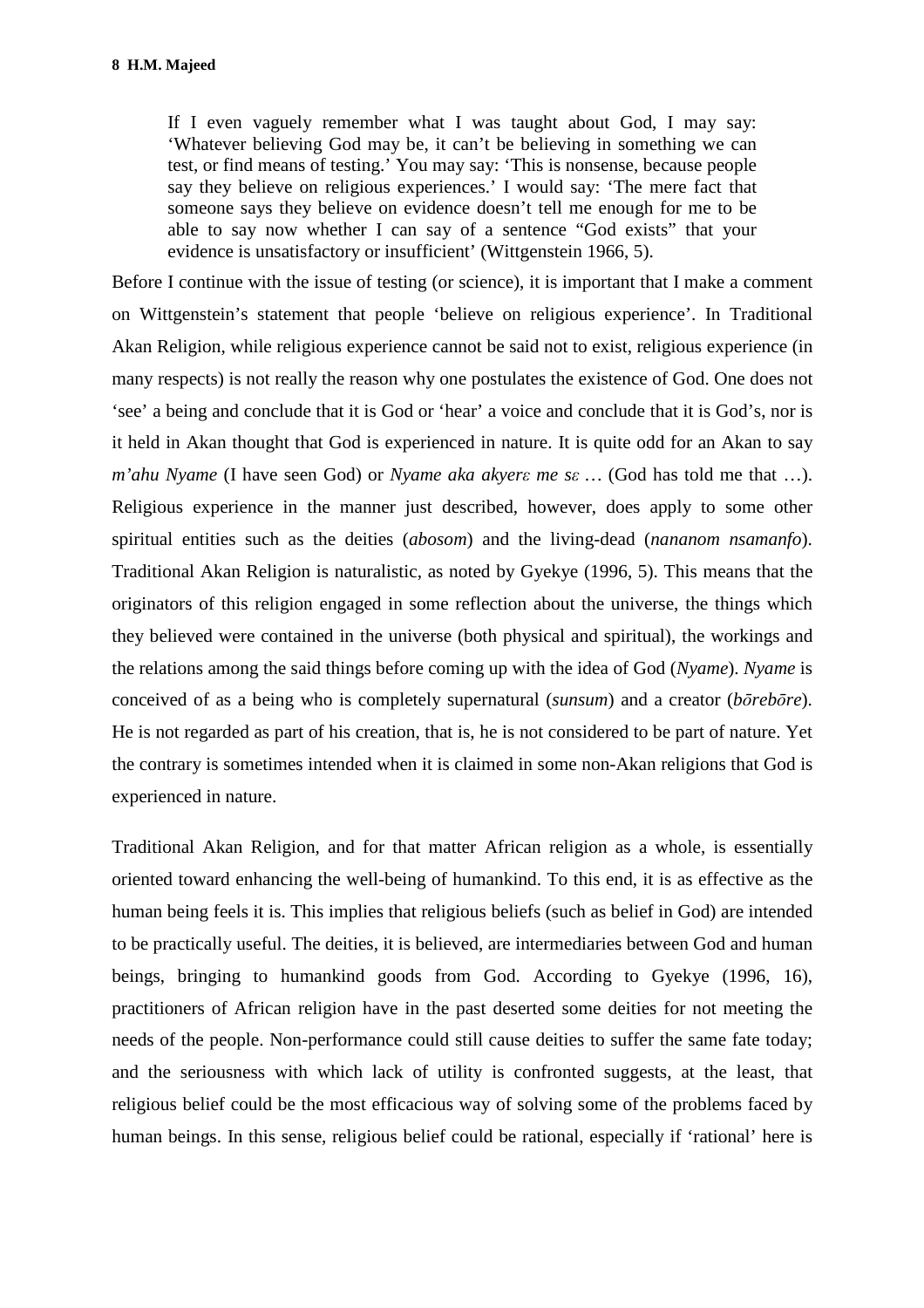If I even vaguely remember what I was taught about God, I may say: 'Whatever believing God may be, it can't be believing in something we can test, or find means of testing.' You may say: 'This is nonsense, because people say they believe on religious experiences.' I would say: 'The mere fact that someone says they believe on evidence doesn't tell me enough for me to be able to say now whether I can say of a sentence "God exists" that your evidence is unsatisfactory or insufficient' (Wittgenstein 1966, 5).

Before I continue with the issue of testing (or science), it is important that I make a comment on Wittgenstein's statement that people 'believe on religious experience'. In Traditional Akan Religion, while religious experience cannot be said not to exist, religious experience (in many respects) is not really the reason why one postulates the existence of God. One does not 'see' a being and conclude that it is God or 'hear' a voice and conclude that it is God's, nor is it held in Akan thought that God is experienced in nature. It is quite odd for an Akan to say *m'ahu Nyame* (I have seen God) or *Nyame aka akyerε me sε …* (God has told me that …). Religious experience in the manner just described, however, does apply to some other spiritual entities such as the deities (*abosom*) and the living-dead (*nananom nsamanfo*). Traditional Akan Religion is naturalistic, as noted by Gyekye (1996, 5). This means that the originators of this religion engaged in some reflection about the universe, the things which they believed were contained in the universe (both physical and spiritual), the workings and the relations among the said things before coming up with the idea of God (*Nyame*). *Nyame* is conceived of as a being who is completely supernatural (*sunsum*) and a creator (*bōrebōre*). He is not regarded as part of his creation, that is, he is not considered to be part of nature. Yet the contrary is sometimes intended when it is claimed in some non-Akan religions that God is experienced in nature.

Traditional Akan Religion, and for that matter African religion as a whole, is essentially oriented toward enhancing the well-being of humankind. To this end, it is as effective as the human being feels it is. This implies that religious beliefs (such as belief in God) are intended to be practically useful. The deities, it is believed, are intermediaries between God and human beings, bringing to humankind goods from God. According to Gyekye (1996, 16), practitioners of African religion have in the past deserted some deities for not meeting the needs of the people. Non-performance could still cause deities to suffer the same fate today; and the seriousness with which lack of utility is confronted suggests, at the least, that religious belief could be the most efficacious way of solving some of the problems faced by human beings. In this sense, religious belief could be rational, especially if 'rational' here is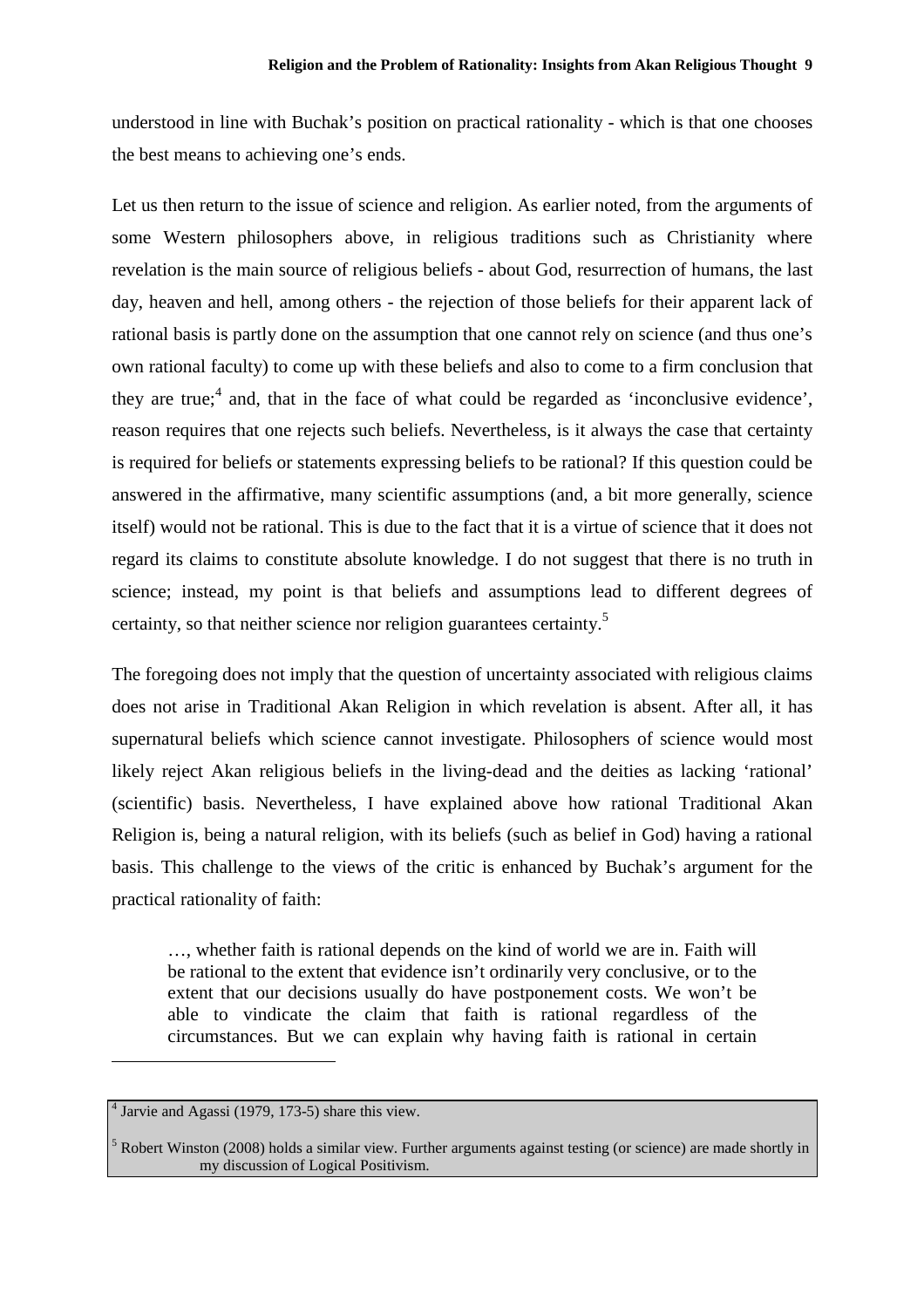understood in line with Buchak's position on practical rationality - which is that one chooses the best means to achieving one's ends.

Let us then return to the issue of science and religion. As earlier noted, from the arguments of some Western philosophers above, in religious traditions such as Christianity where revelation is the main source of religious beliefs - about God, resurrection of humans, the last day, heaven and hell, among others - the rejection of those beliefs for their apparent lack of rational basis is partly done on the assumption that one cannot rely on science (and thus one's own rational faculty) to come up with these beliefs and also to come to a firm conclusion that they are true;<sup>4</sup> and, that in the face of what could be regarded as 'inconclusive evidence', reason requires that one rejects such beliefs. Nevertheless, is it always the case that certainty is required for beliefs or statements expressing beliefs to be rational? If this question could be answered in the affirmative, many scientific assumptions (and, a bit more generally, science itself) would not be rational. This is due to the fact that it is a virtue of science that it does not regard its claims to constitute absolute knowledge. I do not suggest that there is no truth in science; instead, my point is that beliefs and assumptions lead to different degrees of certainty, so that neither science nor religion guarantees certainty.<sup>5</sup>

The foregoing does not imply that the question of uncertainty associated with religious claims does not arise in Traditional Akan Religion in which revelation is absent. After all, it has supernatural beliefs which science cannot investigate. Philosophers of science would most likely reject Akan religious beliefs in the living-dead and the deities as lacking 'rational' (scientific) basis. Nevertheless, I have explained above how rational Traditional Akan Religion is, being a natural religion, with its beliefs (such as belief in God) having a rational basis. This challenge to the views of the critic is enhanced by Buchak's argument for the practical rationality of faith:

…, whether faith is rational depends on the kind of world we are in. Faith will be rational to the extent that evidence isn't ordinarily very conclusive, or to the extent that our decisions usually do have postponement costs. We won't be able to vindicate the claim that faith is rational regardless of the circumstances. But we can explain why having faith is rational in certain

 $\overline{a}$ 

<sup>4</sup> Jarvie and Agassi (1979, 173-5) share this view.

<sup>5</sup> Robert Winston (2008) holds a similar view. Further arguments against testing (or science) are made shortly in my discussion of Logical Positivism.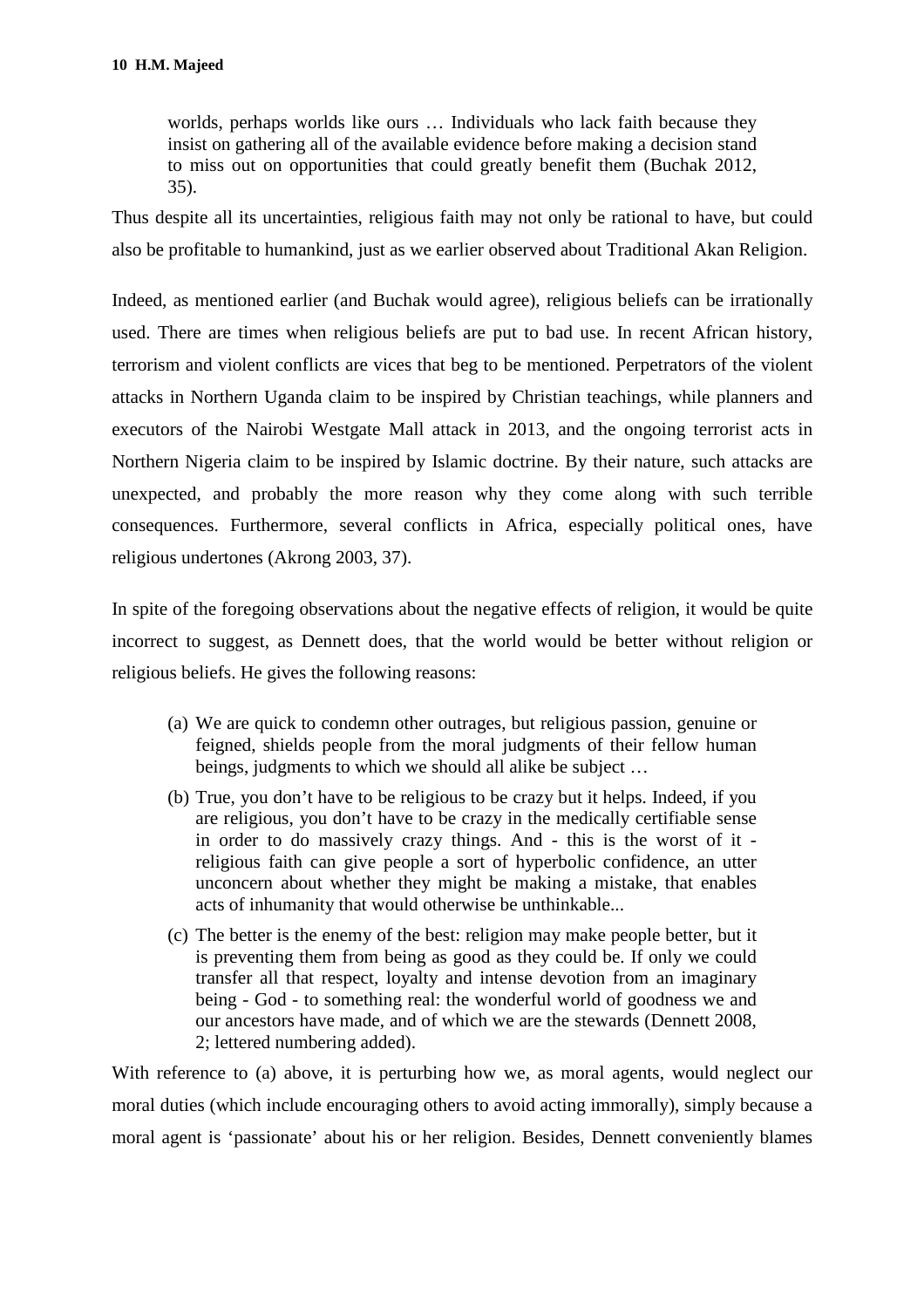worlds, perhaps worlds like ours … Individuals who lack faith because they insist on gathering all of the available evidence before making a decision stand to miss out on opportunities that could greatly benefit them (Buchak 2012, 35).

Thus despite all its uncertainties, religious faith may not only be rational to have, but could also be profitable to humankind, just as we earlier observed about Traditional Akan Religion.

Indeed, as mentioned earlier (and Buchak would agree), religious beliefs can be irrationally used. There are times when religious beliefs are put to bad use. In recent African history, terrorism and violent conflicts are vices that beg to be mentioned. Perpetrators of the violent attacks in Northern Uganda claim to be inspired by Christian teachings, while planners and executors of the Nairobi Westgate Mall attack in 2013, and the ongoing terrorist acts in Northern Nigeria claim to be inspired by Islamic doctrine. By their nature, such attacks are unexpected, and probably the more reason why they come along with such terrible consequences. Furthermore, several conflicts in Africa, especially political ones, have religious undertones (Akrong 2003, 37).

In spite of the foregoing observations about the negative effects of religion, it would be quite incorrect to suggest, as Dennett does, that the world would be better without religion or religious beliefs. He gives the following reasons:

- (a) We are quick to condemn other outrages, but religious passion, genuine or feigned, shields people from the moral judgments of their fellow human beings, judgments to which we should all alike be subject …
- (b) True, you don't have to be religious to be crazy but it helps. Indeed, if you are religious, you don't have to be crazy in the medically certifiable sense in order to do massively crazy things. And - this is the worst of it religious faith can give people a sort of hyperbolic confidence, an utter unconcern about whether they might be making a mistake, that enables acts of inhumanity that would otherwise be unthinkable...
- (c) The better is the enemy of the best: religion may make people better, but it is preventing them from being as good as they could be. If only we could transfer all that respect, loyalty and intense devotion from an imaginary being - God - to something real: the wonderful world of goodness we and our ancestors have made, and of which we are the stewards (Dennett 2008, 2; lettered numbering added).

With reference to (a) above, it is perturbing how we, as moral agents, would neglect our moral duties (which include encouraging others to avoid acting immorally), simply because a moral agent is 'passionate' about his or her religion. Besides, Dennett conveniently blames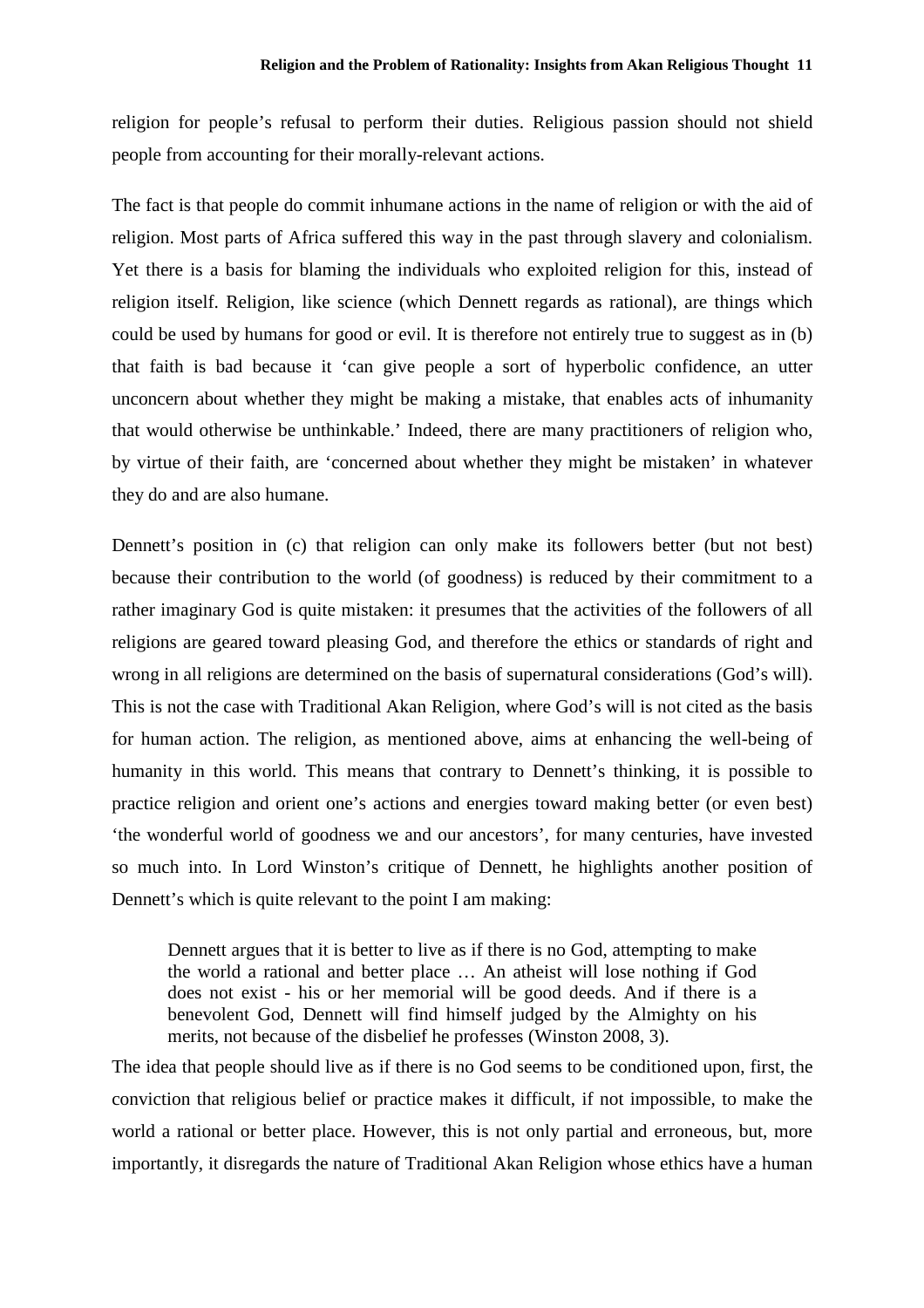religion for people's refusal to perform their duties. Religious passion should not shield people from accounting for their morally-relevant actions.

The fact is that people do commit inhumane actions in the name of religion or with the aid of religion. Most parts of Africa suffered this way in the past through slavery and colonialism. Yet there is a basis for blaming the individuals who exploited religion for this, instead of religion itself. Religion, like science (which Dennett regards as rational), are things which could be used by humans for good or evil. It is therefore not entirely true to suggest as in (b) that faith is bad because it 'can give people a sort of hyperbolic confidence, an utter unconcern about whether they might be making a mistake, that enables acts of inhumanity that would otherwise be unthinkable.' Indeed, there are many practitioners of religion who, by virtue of their faith, are 'concerned about whether they might be mistaken' in whatever they do and are also humane.

Dennett's position in (c) that religion can only make its followers better (but not best) because their contribution to the world (of goodness) is reduced by their commitment to a rather imaginary God is quite mistaken: it presumes that the activities of the followers of all religions are geared toward pleasing God, and therefore the ethics or standards of right and wrong in all religions are determined on the basis of supernatural considerations (God's will). This is not the case with Traditional Akan Religion, where God's will is not cited as the basis for human action. The religion, as mentioned above, aims at enhancing the well-being of humanity in this world. This means that contrary to Dennett's thinking, it is possible to practice religion and orient one's actions and energies toward making better (or even best) 'the wonderful world of goodness we and our ancestors', for many centuries, have invested so much into. In Lord Winston's critique of Dennett, he highlights another position of Dennett's which is quite relevant to the point I am making:

Dennett argues that it is better to live as if there is no God, attempting to make the world a rational and better place … An atheist will lose nothing if God does not exist - his or her memorial will be good deeds. And if there is a benevolent God, Dennett will find himself judged by the Almighty on his merits, not because of the disbelief he professes (Winston 2008, 3).

The idea that people should live as if there is no God seems to be conditioned upon, first, the conviction that religious belief or practice makes it difficult, if not impossible, to make the world a rational or better place. However, this is not only partial and erroneous, but, more importantly, it disregards the nature of Traditional Akan Religion whose ethics have a human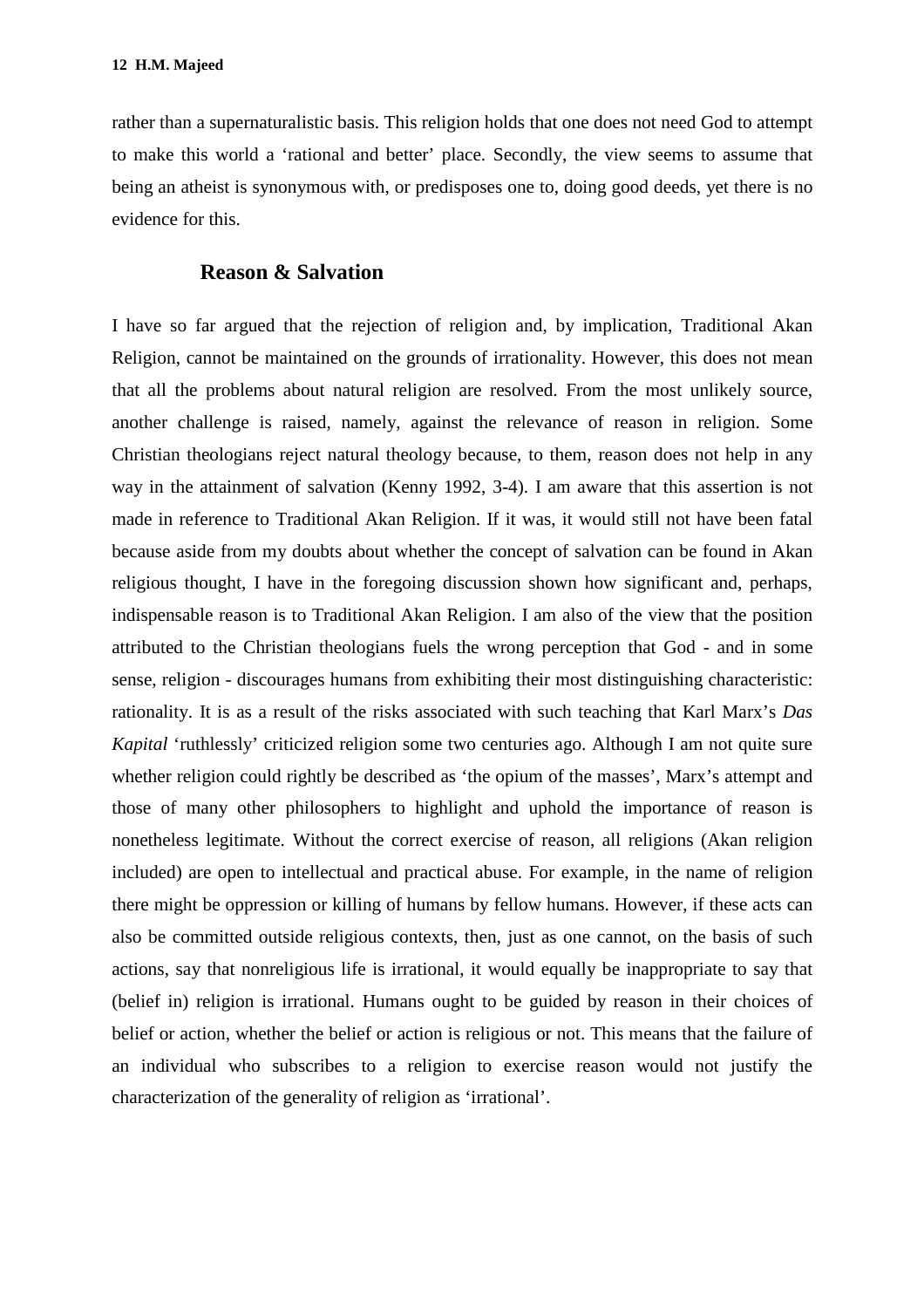rather than a supernaturalistic basis. This religion holds that one does not need God to attempt to make this world a 'rational and better' place. Secondly, the view seems to assume that being an atheist is synonymous with, or predisposes one to, doing good deeds, yet there is no evidence for this.

#### **Reason & Salvation**

I have so far argued that the rejection of religion and, by implication, Traditional Akan Religion, cannot be maintained on the grounds of irrationality. However, this does not mean that all the problems about natural religion are resolved. From the most unlikely source, another challenge is raised, namely, against the relevance of reason in religion. Some Christian theologians reject natural theology because, to them, reason does not help in any way in the attainment of salvation (Kenny 1992, 3-4). I am aware that this assertion is not made in reference to Traditional Akan Religion. If it was, it would still not have been fatal because aside from my doubts about whether the concept of salvation can be found in Akan religious thought, I have in the foregoing discussion shown how significant and, perhaps, indispensable reason is to Traditional Akan Religion. I am also of the view that the position attributed to the Christian theologians fuels the wrong perception that God - and in some sense, religion - discourages humans from exhibiting their most distinguishing characteristic: rationality. It is as a result of the risks associated with such teaching that Karl Marx's *Das Kapital* 'ruthlessly' criticized religion some two centuries ago. Although I am not quite sure whether religion could rightly be described as 'the opium of the masses', Marx's attempt and those of many other philosophers to highlight and uphold the importance of reason is nonetheless legitimate. Without the correct exercise of reason, all religions (Akan religion included) are open to intellectual and practical abuse. For example, in the name of religion there might be oppression or killing of humans by fellow humans. However, if these acts can also be committed outside religious contexts, then, just as one cannot, on the basis of such actions, say that nonreligious life is irrational, it would equally be inappropriate to say that (belief in) religion is irrational. Humans ought to be guided by reason in their choices of belief or action, whether the belief or action is religious or not. This means that the failure of an individual who subscribes to a religion to exercise reason would not justify the characterization of the generality of religion as 'irrational'.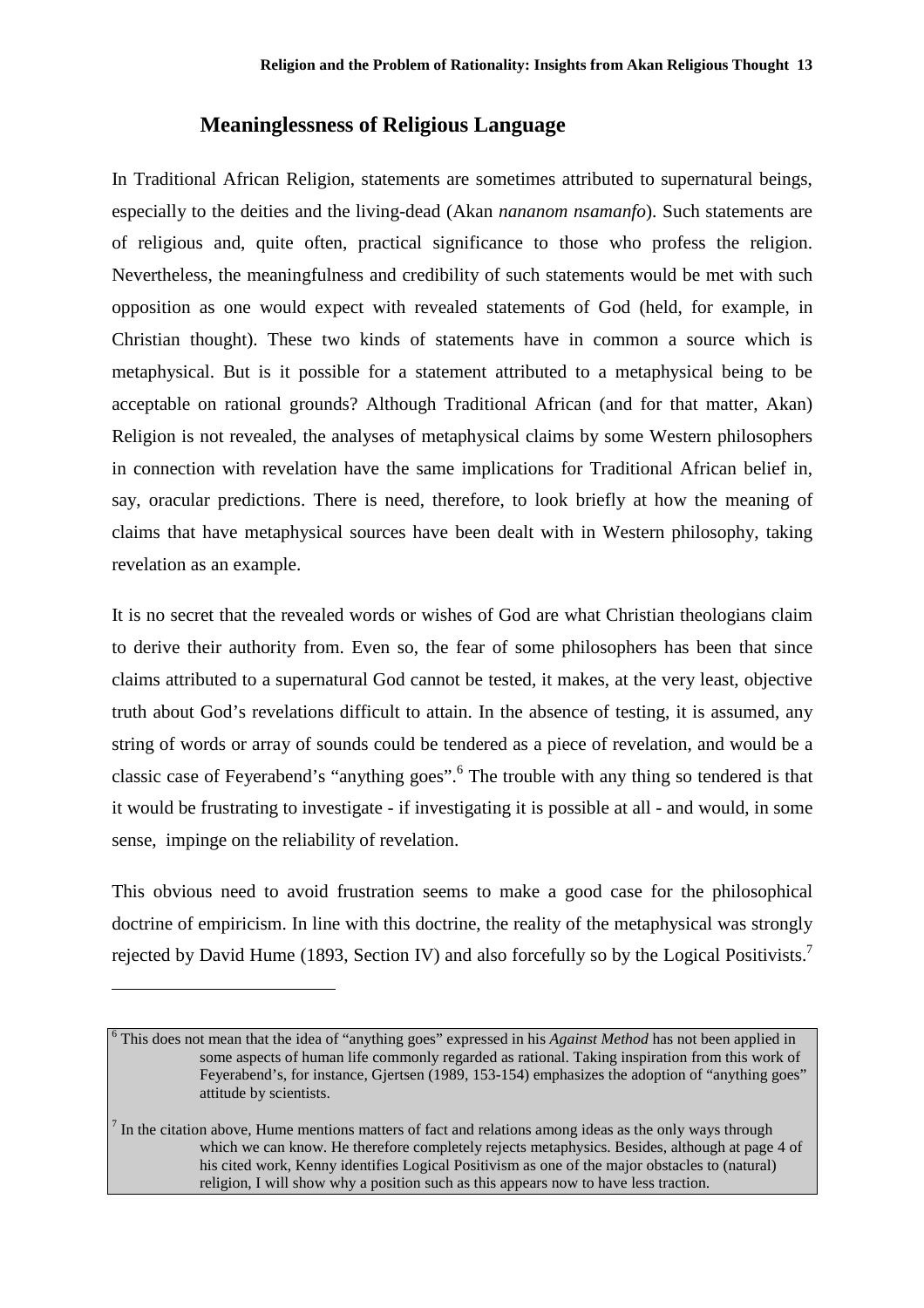#### **Meaninglessness of Religious Language**

In Traditional African Religion, statements are sometimes attributed to supernatural beings, especially to the deities and the living-dead (Akan *nananom nsamanfo*). Such statements are of religious and, quite often, practical significance to those who profess the religion. Nevertheless, the meaningfulness and credibility of such statements would be met with such opposition as one would expect with revealed statements of God (held, for example, in Christian thought). These two kinds of statements have in common a source which is metaphysical. But is it possible for a statement attributed to a metaphysical being to be acceptable on rational grounds? Although Traditional African (and for that matter, Akan) Religion is not revealed, the analyses of metaphysical claims by some Western philosophers in connection with revelation have the same implications for Traditional African belief in, say, oracular predictions. There is need, therefore, to look briefly at how the meaning of claims that have metaphysical sources have been dealt with in Western philosophy, taking revelation as an example.

It is no secret that the revealed words or wishes of God are what Christian theologians claim to derive their authority from. Even so, the fear of some philosophers has been that since claims attributed to a supernatural God cannot be tested, it makes, at the very least, objective truth about God's revelations difficult to attain. In the absence of testing, it is assumed, any string of words or array of sounds could be tendered as a piece of revelation, and would be a classic case of Feyerabend's "anything goes".<sup>6</sup> The trouble with any thing so tendered is that it would be frustrating to investigate - if investigating it is possible at all - and would, in some sense, impinge on the reliability of revelation.

This obvious need to avoid frustration seems to make a good case for the philosophical doctrine of empiricism. In line with this doctrine, the reality of the metaphysical was strongly rejected by David Hume (1893, Section IV) and also forcefully so by the Logical Positivists.<sup>7</sup>

 $\overline{a}$ 

<sup>&</sup>lt;sup>6</sup> This does not mean that the idea of "anything goes" expressed in his *Against Method* has not been applied in some aspects of human life commonly regarded as rational. Taking inspiration from this work of Feyerabend's, for instance, Gjertsen (1989, 153-154) emphasizes the adoption of "anything goes" attitude by scientists.

 $<sup>7</sup>$  In the citation above, Hume mentions matters of fact and relations among ideas as the only ways through</sup> which we can know. He therefore completely rejects metaphysics. Besides, although at page 4 of his cited work, Kenny identifies Logical Positivism as one of the major obstacles to (natural) religion, I will show why a position such as this appears now to have less traction.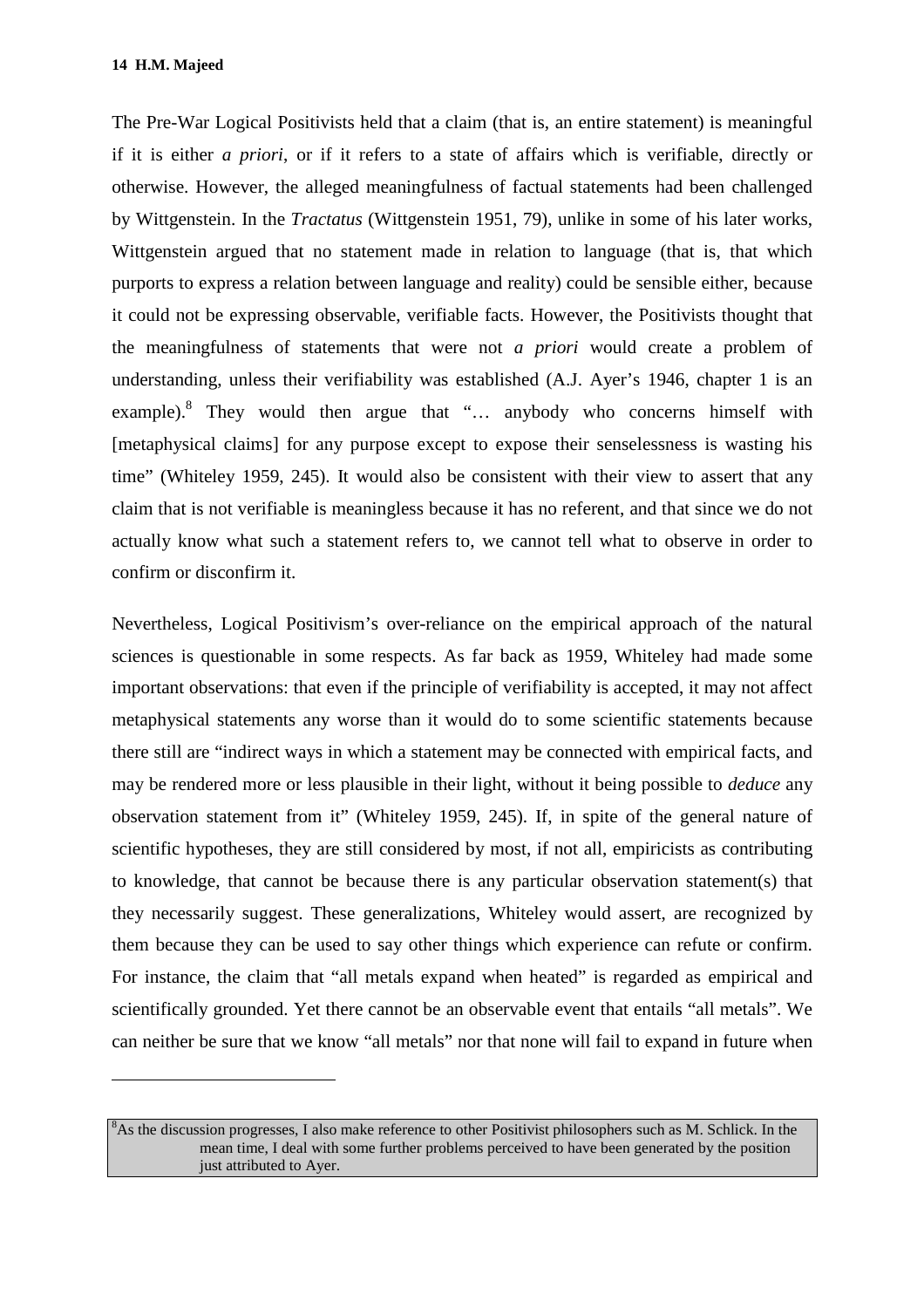$\overline{a}$ 

The Pre-War Logical Positivists held that a claim (that is, an entire statement) is meaningful if it is either *a priori*, or if it refers to a state of affairs which is verifiable, directly or otherwise. However, the alleged meaningfulness of factual statements had been challenged by Wittgenstein. In the *Tractatus* (Wittgenstein 1951, 79), unlike in some of his later works, Wittgenstein argued that no statement made in relation to language (that is, that which purports to express a relation between language and reality) could be sensible either, because it could not be expressing observable, verifiable facts. However, the Positivists thought that the meaningfulness of statements that were not *a priori* would create a problem of understanding, unless their verifiability was established (A.J. Ayer's 1946, chapter 1 is an example).<sup>8</sup> They would then argue that "... anybody who concerns himself with [metaphysical claims] for any purpose except to expose their senselessness is wasting his time" (Whiteley 1959, 245). It would also be consistent with their view to assert that any claim that is not verifiable is meaningless because it has no referent, and that since we do not actually know what such a statement refers to, we cannot tell what to observe in order to confirm or disconfirm it.

Nevertheless, Logical Positivism's over-reliance on the empirical approach of the natural sciences is questionable in some respects. As far back as 1959, Whiteley had made some important observations: that even if the principle of verifiability is accepted, it may not affect metaphysical statements any worse than it would do to some scientific statements because there still are "indirect ways in which a statement may be connected with empirical facts, and may be rendered more or less plausible in their light, without it being possible to *deduce* any observation statement from it" (Whiteley 1959, 245). If, in spite of the general nature of scientific hypotheses, they are still considered by most, if not all, empiricists as contributing to knowledge, that cannot be because there is any particular observation statement(s) that they necessarily suggest. These generalizations, Whiteley would assert, are recognized by them because they can be used to say other things which experience can refute or confirm. For instance, the claim that "all metals expand when heated" is regarded as empirical and scientifically grounded. Yet there cannot be an observable event that entails "all metals". We can neither be sure that we know "all metals" nor that none will fail to expand in future when

 $8$ As the discussion progresses, I also make reference to other Positivist philosophers such as M. Schlick. In the mean time, I deal with some further problems perceived to have been generated by the position just attributed to Ayer.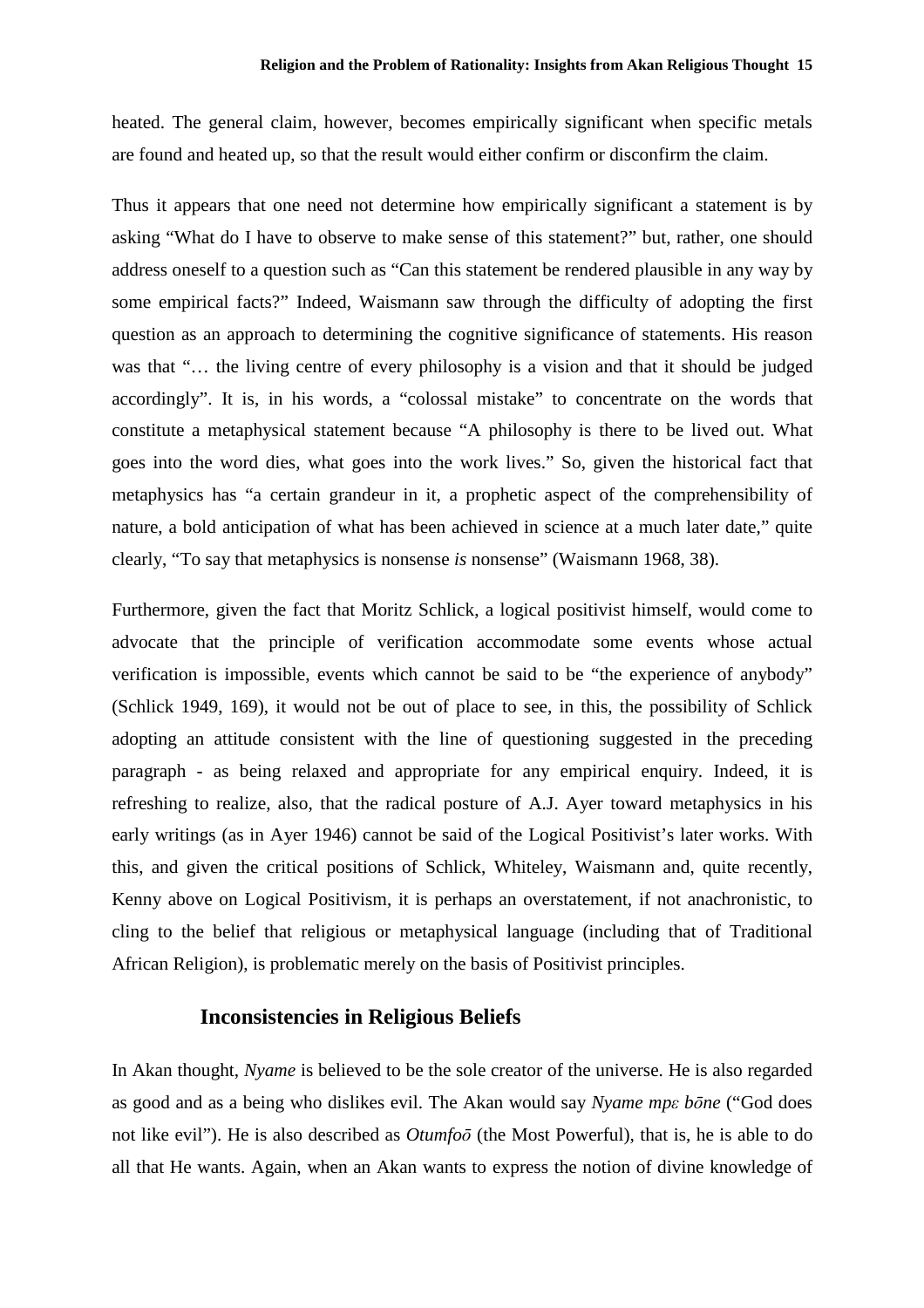heated. The general claim, however, becomes empirically significant when specific metals are found and heated up, so that the result would either confirm or disconfirm the claim.

Thus it appears that one need not determine how empirically significant a statement is by asking "What do I have to observe to make sense of this statement?" but, rather, one should address oneself to a question such as "Can this statement be rendered plausible in any way by some empirical facts?" Indeed, Waismann saw through the difficulty of adopting the first question as an approach to determining the cognitive significance of statements. His reason was that "… the living centre of every philosophy is a vision and that it should be judged accordingly". It is, in his words, a "colossal mistake" to concentrate on the words that constitute a metaphysical statement because "A philosophy is there to be lived out. What goes into the word dies, what goes into the work lives." So, given the historical fact that metaphysics has "a certain grandeur in it, a prophetic aspect of the comprehensibility of nature, a bold anticipation of what has been achieved in science at a much later date," quite clearly, "To say that metaphysics is nonsense *is* nonsense" (Waismann 1968, 38).

Furthermore, given the fact that Moritz Schlick, a logical positivist himself, would come to advocate that the principle of verification accommodate some events whose actual verification is impossible, events which cannot be said to be "the experience of anybody" (Schlick 1949, 169), it would not be out of place to see, in this, the possibility of Schlick adopting an attitude consistent with the line of questioning suggested in the preceding paragraph - as being relaxed and appropriate for any empirical enquiry. Indeed, it is refreshing to realize, also, that the radical posture of A.J. Ayer toward metaphysics in his early writings (as in Ayer 1946) cannot be said of the Logical Positivist's later works. With this, and given the critical positions of Schlick, Whiteley, Waismann and, quite recently, Kenny above on Logical Positivism, it is perhaps an overstatement, if not anachronistic, to cling to the belief that religious or metaphysical language (including that of Traditional African Religion), is problematic merely on the basis of Positivist principles.

#### **Inconsistencies in Religious Beliefs**

In Akan thought, *Nyame* is believed to be the sole creator of the universe. He is also regarded as good and as a being who dislikes evil. The Akan would say *Nyame mpε bōne* ("God does not like evil"). He is also described as *Otumfoō* (the Most Powerful), that is, he is able to do all that He wants. Again, when an Akan wants to express the notion of divine knowledge of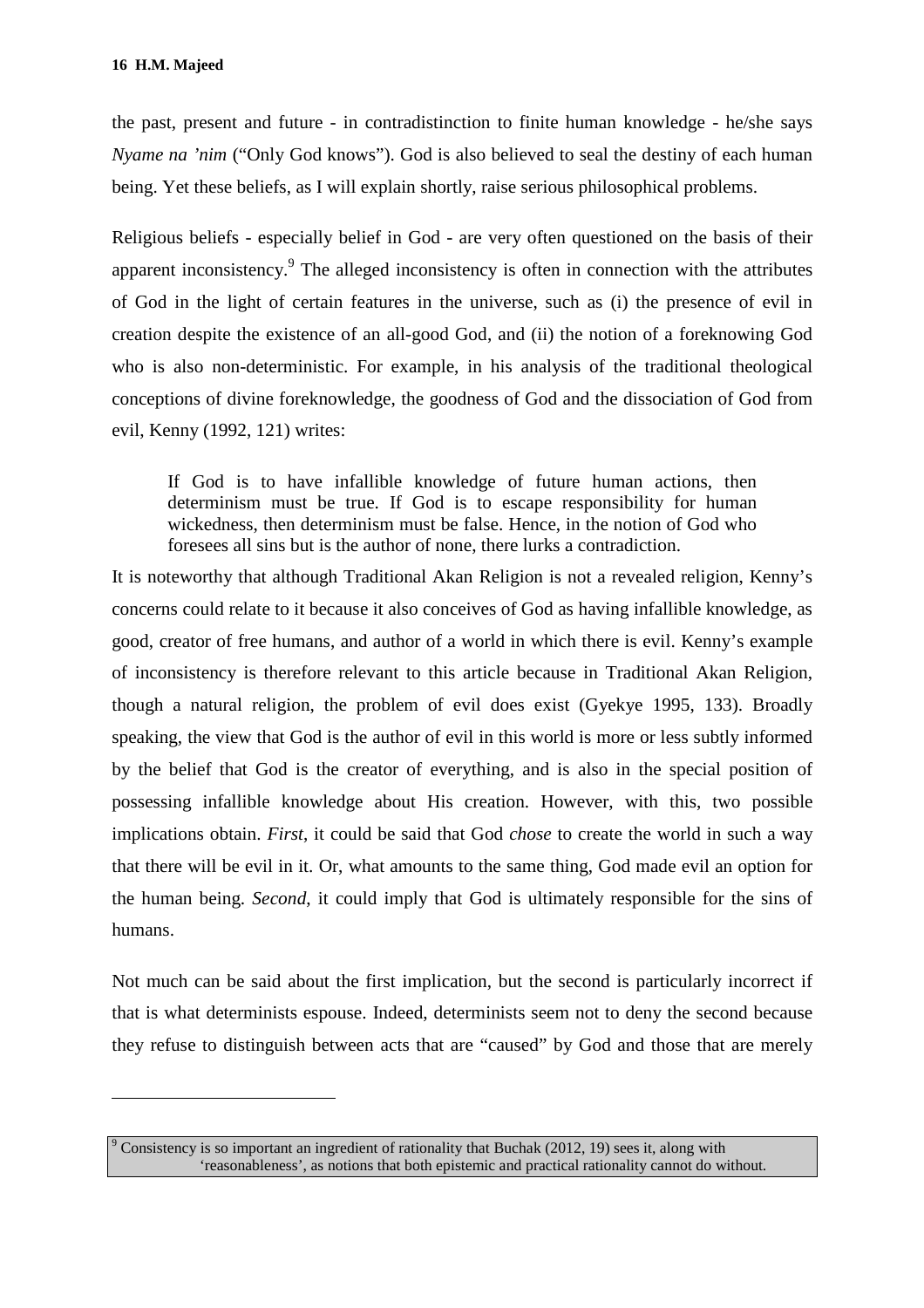$\overline{a}$ 

the past, present and future - in contradistinction to finite human knowledge - he/she says *Nyame na 'nim* ("Only God knows"). God is also believed to seal the destiny of each human being. Yet these beliefs, as I will explain shortly, raise serious philosophical problems.

Religious beliefs - especially belief in God - are very often questioned on the basis of their apparent inconsistency.<sup>9</sup> The alleged inconsistency is often in connection with the attributes of God in the light of certain features in the universe, such as (i) the presence of evil in creation despite the existence of an all-good God, and (ii) the notion of a foreknowing God who is also non-deterministic. For example, in his analysis of the traditional theological conceptions of divine foreknowledge, the goodness of God and the dissociation of God from evil, Kenny (1992, 121) writes:

If God is to have infallible knowledge of future human actions, then determinism must be true. If God is to escape responsibility for human wickedness, then determinism must be false. Hence, in the notion of God who foresees all sins but is the author of none, there lurks a contradiction.

It is noteworthy that although Traditional Akan Religion is not a revealed religion, Kenny's concerns could relate to it because it also conceives of God as having infallible knowledge, as good, creator of free humans, and author of a world in which there is evil. Kenny's example of inconsistency is therefore relevant to this article because in Traditional Akan Religion, though a natural religion, the problem of evil does exist (Gyekye 1995, 133). Broadly speaking, the view that God is the author of evil in this world is more or less subtly informed by the belief that God is the creator of everything, and is also in the special position of possessing infallible knowledge about His creation. However, with this, two possible implications obtain. *First*, it could be said that God *chose* to create the world in such a way that there will be evil in it. Or, what amounts to the same thing, God made evil an option for the human being. *Second*, it could imply that God is ultimately responsible for the sins of humans.

Not much can be said about the first implication, but the second is particularly incorrect if that is what determinists espouse. Indeed, determinists seem not to deny the second because they refuse to distinguish between acts that are "caused" by God and those that are merely

<sup>9</sup> Consistency is so important an ingredient of rationality that Buchak (2012, 19) sees it, along with 'reasonableness', as notions that both epistemic and practical rationality cannot do without.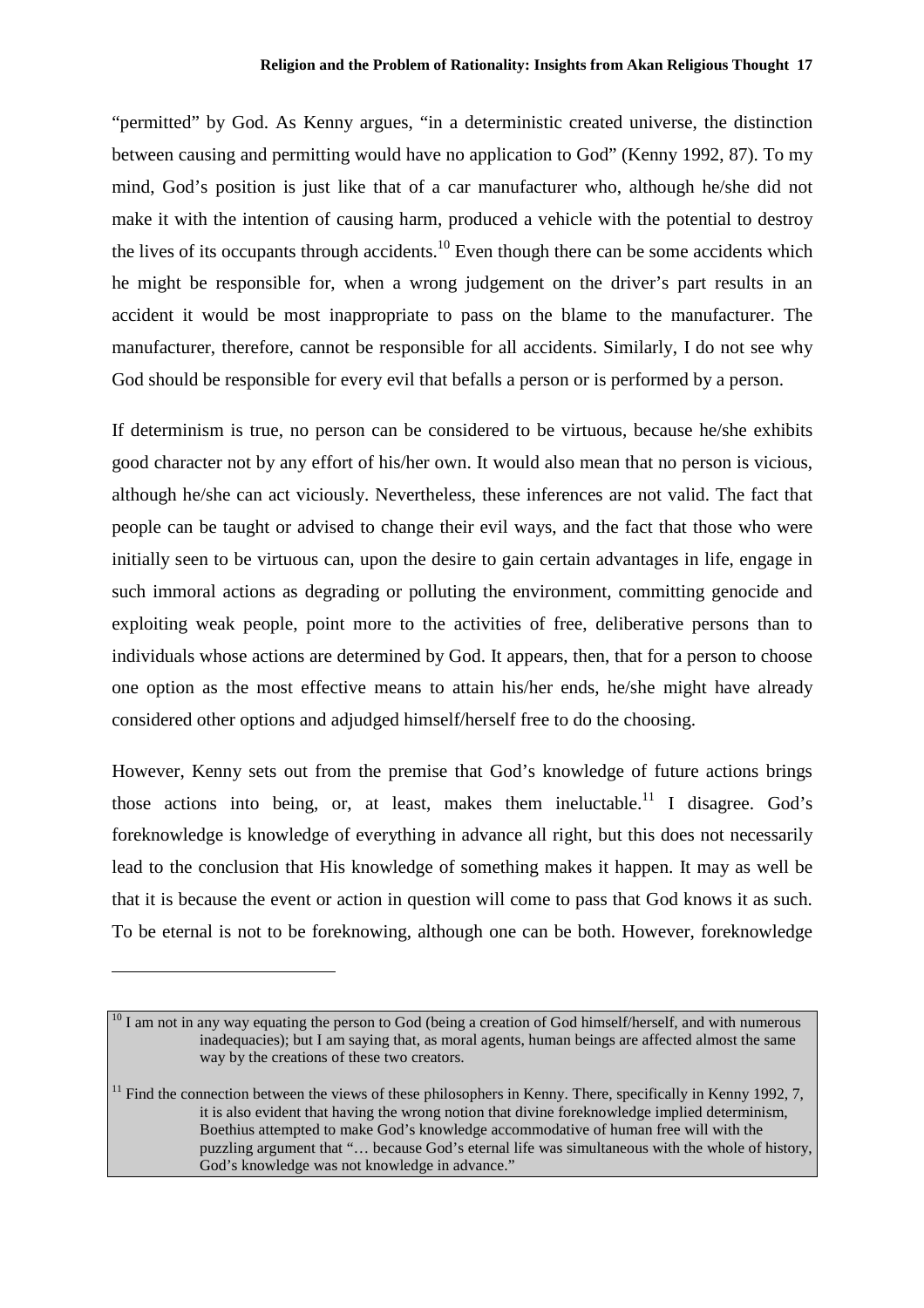"permitted" by God. As Kenny argues, "in a deterministic created universe, the distinction between causing and permitting would have no application to God" (Kenny 1992, 87). To my mind, God's position is just like that of a car manufacturer who, although he/she did not make it with the intention of causing harm, produced a vehicle with the potential to destroy the lives of its occupants through accidents.<sup>10</sup> Even though there can be some accidents which he might be responsible for, when a wrong judgement on the driver's part results in an accident it would be most inappropriate to pass on the blame to the manufacturer. The manufacturer, therefore, cannot be responsible for all accidents. Similarly, I do not see why God should be responsible for every evil that befalls a person or is performed by a person.

If determinism is true, no person can be considered to be virtuous, because he/she exhibits good character not by any effort of his/her own. It would also mean that no person is vicious, although he/she can act viciously. Nevertheless, these inferences are not valid. The fact that people can be taught or advised to change their evil ways, and the fact that those who were initially seen to be virtuous can, upon the desire to gain certain advantages in life, engage in such immoral actions as degrading or polluting the environment, committing genocide and exploiting weak people, point more to the activities of free, deliberative persons than to individuals whose actions are determined by God. It appears, then, that for a person to choose one option as the most effective means to attain his/her ends, he/she might have already considered other options and adjudged himself/herself free to do the choosing.

However, Kenny sets out from the premise that God's knowledge of future actions brings those actions into being, or, at least, makes them ineluctable.<sup>11</sup> I disagree. God's foreknowledge is knowledge of everything in advance all right, but this does not necessarily lead to the conclusion that His knowledge of something makes it happen. It may as well be that it is because the event or action in question will come to pass that God knows it as such. To be eternal is not to be foreknowing, although one can be both. However, foreknowledge

 $\overline{a}$ 

 $10<sup>10</sup>$  I am not in any way equating the person to God (being a creation of God himself/herself, and with numerous inadequacies); but I am saying that, as moral agents, human beings are affected almost the same way by the creations of these two creators.

 $11$  Find the connection between the views of these philosophers in Kenny. There, specifically in Kenny 1992, 7, it is also evident that having the wrong notion that divine foreknowledge implied determinism, Boethius attempted to make God's knowledge accommodative of human free will with the puzzling argument that "… because God's eternal life was simultaneous with the whole of history, God's knowledge was not knowledge in advance."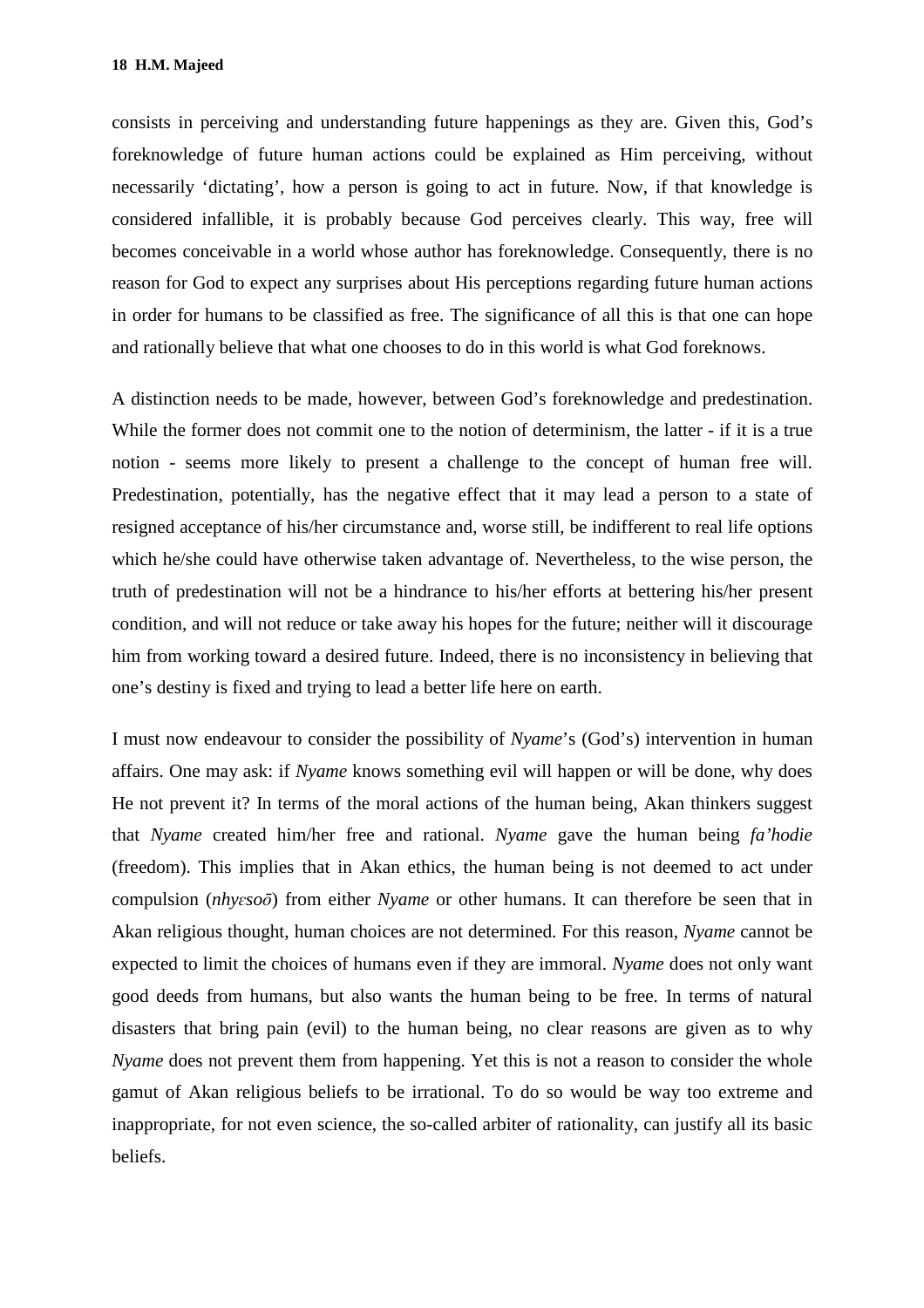consists in perceiving and understanding future happenings as they are. Given this, God's foreknowledge of future human actions could be explained as Him perceiving, without necessarily 'dictating', how a person is going to act in future. Now, if that knowledge is considered infallible, it is probably because God perceives clearly. This way, free will becomes conceivable in a world whose author has foreknowledge. Consequently, there is no reason for God to expect any surprises about His perceptions regarding future human actions in order for humans to be classified as free. The significance of all this is that one can hope and rationally believe that what one chooses to do in this world is what God foreknows.

A distinction needs to be made, however, between God's foreknowledge and predestination. While the former does not commit one to the notion of determinism, the latter - if it is a true notion - seems more likely to present a challenge to the concept of human free will. Predestination, potentially, has the negative effect that it may lead a person to a state of resigned acceptance of his/her circumstance and, worse still, be indifferent to real life options which he/she could have otherwise taken advantage of. Nevertheless, to the wise person, the truth of predestination will not be a hindrance to his/her efforts at bettering his/her present condition, and will not reduce or take away his hopes for the future; neither will it discourage him from working toward a desired future. Indeed, there is no inconsistency in believing that one's destiny is fixed and trying to lead a better life here on earth.

I must now endeavour to consider the possibility of *Nyame*'s (God's) intervention in human affairs. One may ask: if *Nyame* knows something evil will happen or will be done, why does He not prevent it? In terms of the moral actions of the human being, Akan thinkers suggest that *Nyame* created him/her free and rational. *Nyame* gave the human being *fa'hodie*  (freedom). This implies that in Akan ethics, the human being is not deemed to act under compulsion (*nhyɛsoō*) from either *Nyame* or other humans. It can therefore be seen that in Akan religious thought, human choices are not determined. For this reason, *Nyame* cannot be expected to limit the choices of humans even if they are immoral. *Nyame* does not only want good deeds from humans, but also wants the human being to be free. In terms of natural disasters that bring pain (evil) to the human being, no clear reasons are given as to why *Nyame* does not prevent them from happening. Yet this is not a reason to consider the whole gamut of Akan religious beliefs to be irrational. To do so would be way too extreme and inappropriate, for not even science, the so-called arbiter of rationality, can justify all its basic beliefs.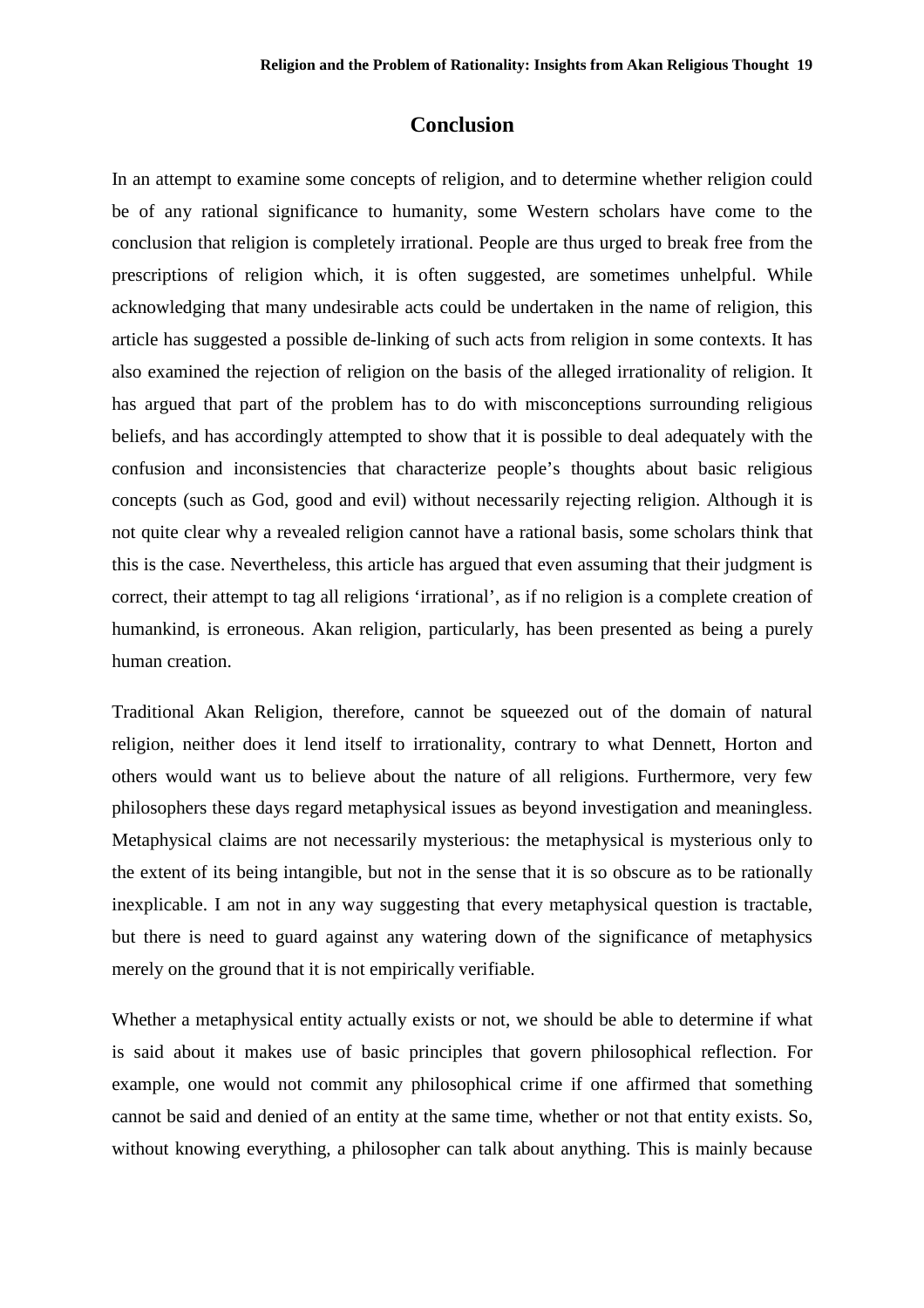#### **Conclusion**

In an attempt to examine some concepts of religion, and to determine whether religion could be of any rational significance to humanity, some Western scholars have come to the conclusion that religion is completely irrational. People are thus urged to break free from the prescriptions of religion which, it is often suggested, are sometimes unhelpful. While acknowledging that many undesirable acts could be undertaken in the name of religion, this article has suggested a possible de-linking of such acts from religion in some contexts. It has also examined the rejection of religion on the basis of the alleged irrationality of religion. It has argued that part of the problem has to do with misconceptions surrounding religious beliefs, and has accordingly attempted to show that it is possible to deal adequately with the confusion and inconsistencies that characterize people's thoughts about basic religious concepts (such as God, good and evil) without necessarily rejecting religion. Although it is not quite clear why a revealed religion cannot have a rational basis, some scholars think that this is the case. Nevertheless, this article has argued that even assuming that their judgment is correct, their attempt to tag all religions 'irrational', as if no religion is a complete creation of humankind, is erroneous. Akan religion, particularly, has been presented as being a purely human creation.

Traditional Akan Religion, therefore, cannot be squeezed out of the domain of natural religion, neither does it lend itself to irrationality, contrary to what Dennett, Horton and others would want us to believe about the nature of all religions. Furthermore, very few philosophers these days regard metaphysical issues as beyond investigation and meaningless. Metaphysical claims are not necessarily mysterious: the metaphysical is mysterious only to the extent of its being intangible, but not in the sense that it is so obscure as to be rationally inexplicable. I am not in any way suggesting that every metaphysical question is tractable, but there is need to guard against any watering down of the significance of metaphysics merely on the ground that it is not empirically verifiable.

Whether a metaphysical entity actually exists or not, we should be able to determine if what is said about it makes use of basic principles that govern philosophical reflection. For example, one would not commit any philosophical crime if one affirmed that something cannot be said and denied of an entity at the same time, whether or not that entity exists. So, without knowing everything, a philosopher can talk about anything. This is mainly because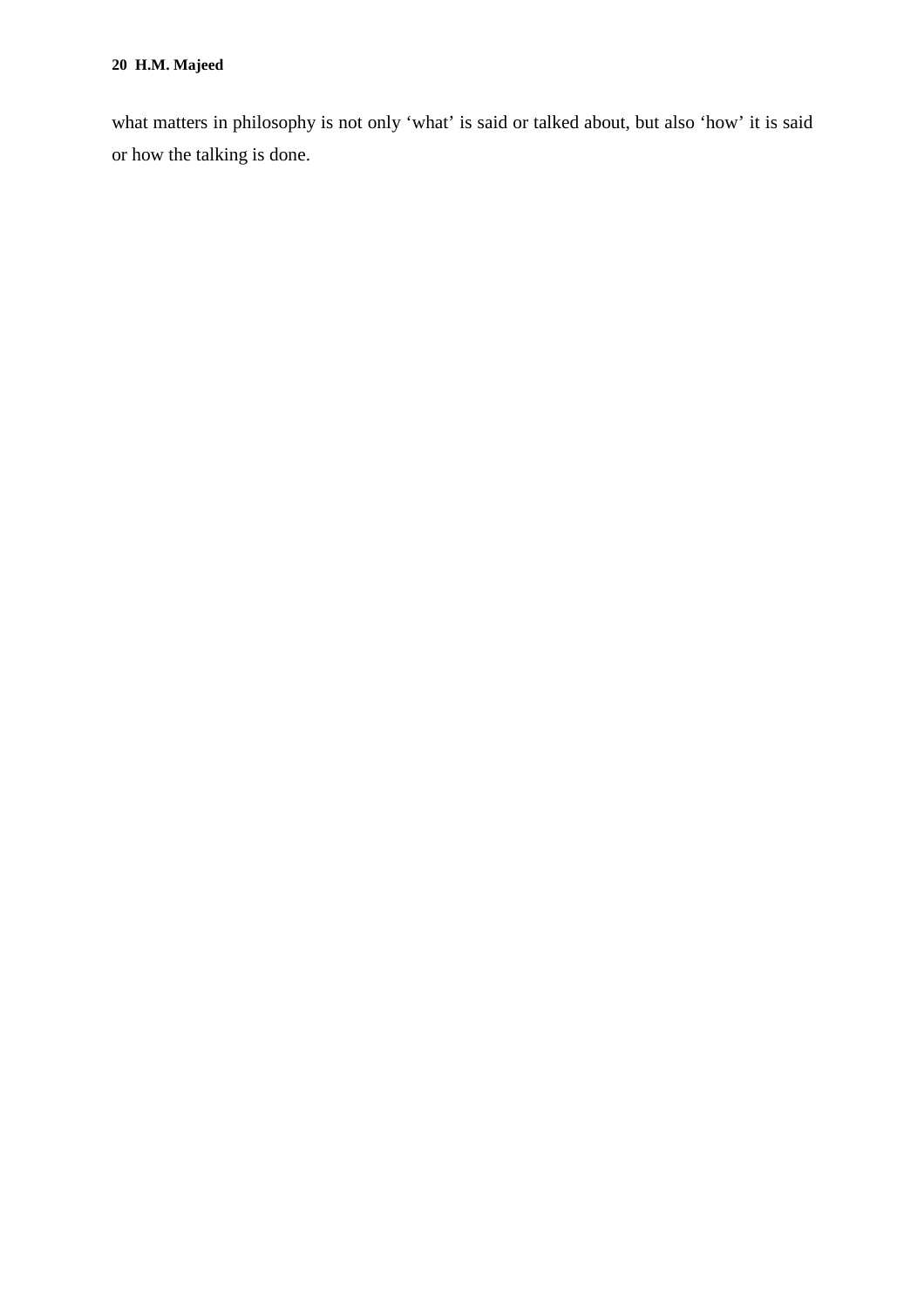what matters in philosophy is not only 'what' is said or talked about, but also 'how' it is said or how the talking is done.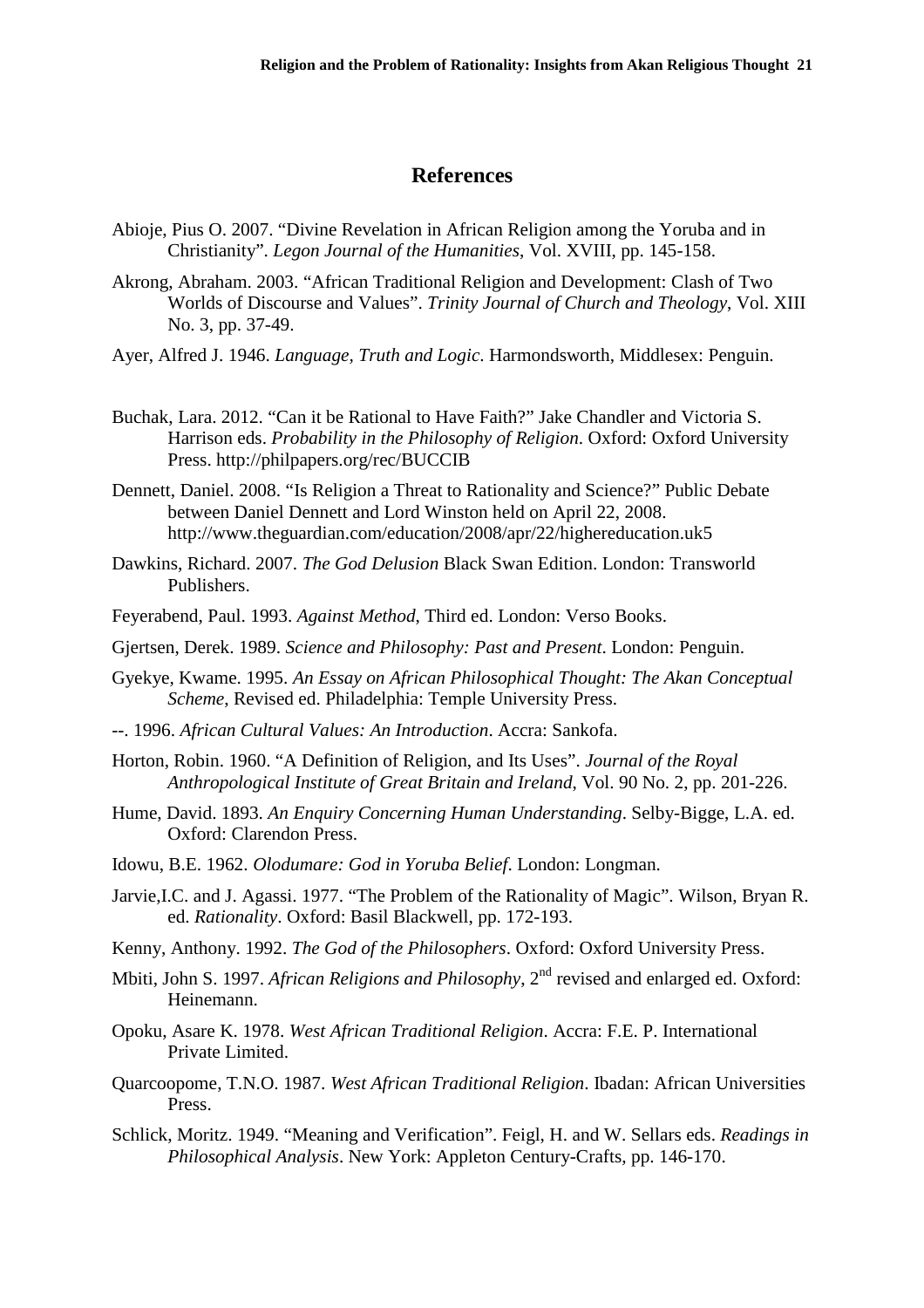#### **References**

- Abioje, Pius O. 2007. "Divine Revelation in African Religion among the Yoruba and in Christianity". *Legon Journal of the Humanities*, Vol. XVIII, pp. 145-158.
- Akrong, Abraham. 2003. "African Traditional Religion and Development: Clash of Two Worlds of Discourse and Values". *Trinity Journal of Church and Theology*, Vol. XIII No. 3, pp. 37-49.
- Ayer, Alfred J. 1946. *Language, Truth and Logic*. Harmondsworth, Middlesex: Penguin.
- Buchak, Lara. 2012. "Can it be Rational to Have Faith?" Jake Chandler and Victoria S. Harrison eds. *Probability in the Philosophy of Religion*. Oxford: Oxford University Press. http://philpapers.org/rec/BUCCIB
- Dennett, Daniel. 2008. "Is Religion a Threat to Rationality and Science?" Public Debate between Daniel Dennett and Lord Winston held on April 22, 2008. http://www.theguardian.com/education/2008/apr/22/highereducation.uk5
- Dawkins, Richard. 2007. *The God Delusion* Black Swan Edition. London: Transworld Publishers.
- Feyerabend, Paul. 1993. *Against Method*, Third ed. London: Verso Books.
- Gjertsen, Derek. 1989. *Science and Philosophy: Past and Present*. London: Penguin.
- Gyekye, Kwame. 1995. *An Essay on African Philosophical Thought: The Akan Conceptual Scheme*, Revised ed. Philadelphia: Temple University Press.
- --. 1996. *African Cultural Values: An Introduction*. Accra: Sankofa.
- Horton, Robin. 1960. "A Definition of Religion, and Its Uses". *Journal of the Royal Anthropological Institute of Great Britain and Ireland*, Vol. 90 No. 2, pp. 201-226.
- Hume, David. 1893. *An Enquiry Concerning Human Understanding*. Selby-Bigge, L.A. ed. Oxford: Clarendon Press.
- Idowu, B.E. 1962. *Olodumare: God in Yoruba Belief*. London: Longman.
- Jarvie,I.C. and J. Agassi. 1977. "The Problem of the Rationality of Magic". Wilson, Bryan R. ed. *Rationality*. Oxford: Basil Blackwell, pp. 172-193.
- Kenny, Anthony. 1992. *The God of the Philosophers*. Oxford: Oxford University Press.
- Mbiti, John S. 1997. *African Religions and Philosophy*, 2<sup>nd</sup> revised and enlarged ed. Oxford: Heinemann.
- Opoku, Asare K. 1978. *West African Traditional Religion*. Accra: F.E. P. International Private Limited.
- Quarcoopome, T.N.O. 1987. *West African Traditional Religion*. Ibadan: African Universities Press.
- Schlick, Moritz. 1949. "Meaning and Verification". Feigl, H. and W. Sellars eds. *Readings in Philosophical Analysis*. New York: Appleton Century-Crafts, pp. 146-170.